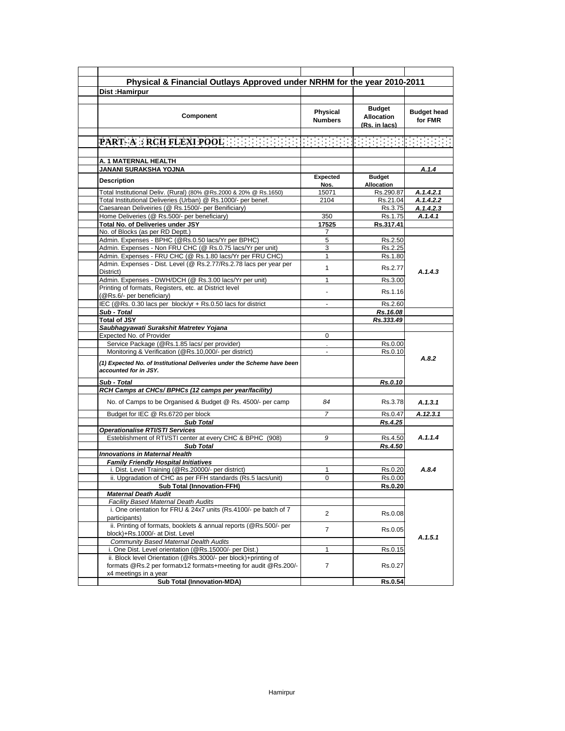| Dist: Hamirpur                                                                                                                                             | Physical & Financial Outlays Approved under NRHM for the year 2010-2011 |                                                     |                               |
|------------------------------------------------------------------------------------------------------------------------------------------------------------|-------------------------------------------------------------------------|-----------------------------------------------------|-------------------------------|
|                                                                                                                                                            |                                                                         |                                                     |                               |
| Component                                                                                                                                                  | Physical<br><b>Numbers</b>                                              | <b>Budget</b><br><b>Allocation</b><br>(Rs. in lacs) | <b>Budget head</b><br>for FMR |
| PART- A : RCH FLEXI POOL AND RELEASED TO                                                                                                                   |                                                                         |                                                     |                               |
|                                                                                                                                                            |                                                                         |                                                     |                               |
| A. 1 MATERNAL HEALTH                                                                                                                                       |                                                                         |                                                     |                               |
| JANANI SURAKSHA YOJNA                                                                                                                                      |                                                                         |                                                     | A.1.4                         |
| <b>Description</b>                                                                                                                                         | <b>Expected</b><br>Nos.                                                 | <b>Budget</b><br><b>Allocation</b>                  |                               |
| Total Institutional Deliv. (Rural) (80% @Rs.2000 & 20% @ Rs.1650)                                                                                          | 15071                                                                   | Rs.290.87                                           | A.1.4.2.1                     |
| Total Institutional Deliveries (Urban) @ Rs.1000/- per benef.                                                                                              | 2104                                                                    | Rs.21.04                                            | A.1.4.2.2                     |
| Caesarean Deliveiries (@ Rs.1500/- per Benificiary)                                                                                                        |                                                                         | Rs.3.75                                             | A.1.4.2.3                     |
| Home Deliveries (@ Rs.500/- per beneficiary)                                                                                                               | 350                                                                     | Rs.1.75                                             | A.1.4.1                       |
| Total No. of Deliveries under JSY                                                                                                                          | 17525                                                                   | Rs.317.41                                           |                               |
| No. of Blocks (as per RD Deptt.)                                                                                                                           | 7                                                                       |                                                     |                               |
| Admin. Expenses - BPHC (@Rs.0.50 lacs/Yr per BPHC)                                                                                                         | 5                                                                       | Rs.2.50                                             |                               |
| Admin. Expenses - Non FRU CHC (@ Rs.0.75 lacs/Yr per unit)                                                                                                 | 3                                                                       | Rs.2.25                                             |                               |
| Admin. Expenses - FRU CHC (@ Rs.1.80 lacs/Yr per FRU CHC)                                                                                                  | 1                                                                       | Rs.1.80                                             |                               |
| Admin. Expenses - Dist. Level (@ Rs.2.77/Rs.2.78 lacs per year per<br>District)                                                                            | 1                                                                       | Rs.2.77                                             | A.1.4.3                       |
| Admin. Expenses - DWH/DCH (@ Rs.3.00 lacs/Yr per unit)                                                                                                     | 1                                                                       | Rs.3.00                                             |                               |
| Printing of formats, Registers, etc. at District level<br>(@Rs.6/- per beneficiary)                                                                        | L,                                                                      | Rs.1.16                                             |                               |
| IEC (@Rs. 0.30 lacs per block/yr + Rs.0.50 lacs for district                                                                                               | ä,                                                                      | Rs.2.60                                             |                               |
| Sub - Total                                                                                                                                                |                                                                         | Rs.16.08                                            |                               |
| <b>Total of JSY</b>                                                                                                                                        |                                                                         | Rs.333.49                                           |                               |
| Saubhagyawati Surakshit Matretev Yojana                                                                                                                    |                                                                         |                                                     |                               |
| Expected No. of Provider                                                                                                                                   | 0                                                                       |                                                     |                               |
| Service Package (@Rs.1.85 lacs/ per provider)                                                                                                              |                                                                         |                                                     |                               |
| Monitoring & Verification (@Rs.10,000/- per district)                                                                                                      | $\blacksquare$                                                          | Rs.0.00<br>Rs.0.10                                  |                               |
| (1) Expected No. of Institutional Deliveries under the Scheme have been<br>accounted for in JSY.                                                           |                                                                         |                                                     | A.8.2                         |
| Sub - Total                                                                                                                                                |                                                                         | <b>Rs.0.10</b>                                      |                               |
| RCH Camps at CHCs/ BPHCs (12 camps per year/facility)                                                                                                      |                                                                         |                                                     |                               |
| No. of Camps to be Organised & Budget @ Rs. 4500/- per camp                                                                                                | 84                                                                      | Rs.3.78                                             | A.1.3.1                       |
| Budget for IEC @ Rs.6720 per block                                                                                                                         | $\overline{7}$                                                          | Rs.0.47                                             | A.12.3.1                      |
| <b>Sub Total</b>                                                                                                                                           |                                                                         | Rs.4.25                                             |                               |
| Operationalise RTI/STI Services                                                                                                                            |                                                                         |                                                     |                               |
| Esteblishment of RTI/STI center at every CHC & BPHC (908)                                                                                                  | 9                                                                       | Rs.4.50                                             | A.1.1.4                       |
| <b>Sub Total</b>                                                                                                                                           |                                                                         | Rs.4.50                                             |                               |
| <b>Innovations in Maternal Health</b>                                                                                                                      |                                                                         |                                                     |                               |
| <b>Family Friendly Hospital Initiatives</b>                                                                                                                |                                                                         |                                                     |                               |
| i. Dist. Level Training (@Rs.20000/- per district)                                                                                                         | 1                                                                       | Rs.0.20                                             | A.8.4                         |
| ii. Upgradation of CHC as per FFH standards (Rs.5 lacs/unit)                                                                                               | 0                                                                       | Rs.0.00                                             |                               |
|                                                                                                                                                            |                                                                         | <b>Rs.0.20</b>                                      |                               |
|                                                                                                                                                            |                                                                         |                                                     |                               |
| <b>Sub Total (Innovation-FFH)</b>                                                                                                                          |                                                                         |                                                     |                               |
| <b>Maternal Death Audit</b>                                                                                                                                |                                                                         |                                                     |                               |
| <b>Facility Based Maternal Death Audits</b><br>i. One orientation for FRU & 24x7 units (Rs.4100/- pe batch of 7                                            | $\overline{2}$                                                          | Rs.0.08                                             |                               |
| participants)<br>ii. Printing of formats, booklets & annual reports (@Rs.500/- per                                                                         | $\overline{7}$                                                          | Rs.0.05                                             |                               |
| block)+Rs.1000/- at Dist. Level                                                                                                                            |                                                                         |                                                     | A.1.5.1                       |
| Community Based Maternal Dealth Audits                                                                                                                     |                                                                         |                                                     |                               |
| i. One Dist. Level orientation (@Rs.15000/- per Dist.)                                                                                                     | $\mathbf{1}$                                                            | Rs.0.15                                             |                               |
| ii. Block level Orientation (@Rs.3000/- per block)+printing of<br>formats @Rs.2 per formatx12 formats+meeting for audit @Rs.200/-<br>x4 meetings in a year | $\overline{7}$                                                          | Rs.0.27                                             |                               |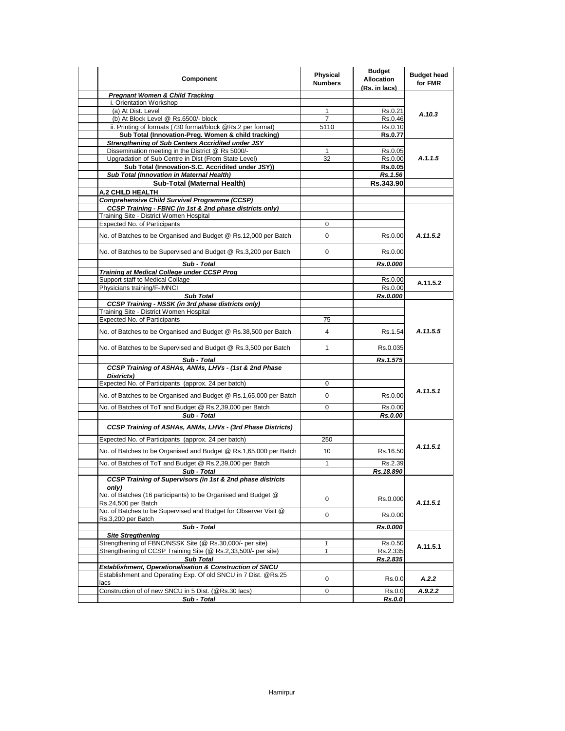| <b>Pregnant Women &amp; Child Tracking</b><br>i. Orientation Workshop<br>(a) At Dist. Level<br>1<br>Rs.0.21<br>A.10.3<br>(b) At Block Level @ Rs.6500/- block<br>$\overline{7}$<br>Rs.0.46<br>ii. Printing of formats (730 format/block @Rs.2 per format)<br>5110<br>Rs.0.10<br>Sub Total (Innovation-Preg. Women & child tracking)<br>Rs.0.77<br><b>Strengthening of Sub Centers Accridited under JSY</b><br>Dissemination meeting in the District @ Rs 5000/-<br>$\mathbf{1}$<br>Rs.0.05<br>Upgradation of Sub Centre in Dist (From State Level)<br>A.1.1.5<br>32<br>Rs.0.00<br>Sub Total (Innovation-S.C. Accridited under JSY))<br><b>Rs.0.05</b><br>Sub Total (Innovation in Maternal Health)<br>Rs.1.56<br>Sub-Total (Maternal Health)<br>Rs.343.90<br>A.2 CHILD HEALTH<br><b>Comprehensive Child Survival Programme (CCSP)</b><br>CCSP Training - FBNC (in 1st & 2nd phase districts only)<br>Training Site - District Women Hospital<br><b>Expected No. of Participants</b><br>0<br>A.11.5.2<br>No. of Batches to be Organised and Budget @ Rs.12,000 per Batch<br>0<br>Rs.0.00<br>No. of Batches to be Supervised and Budget @ Rs.3,200 per Batch<br>0<br>Rs.0.00<br>Sub - Total<br>Rs.0.000<br><b>Training at Medical College under CCSP Prog</b><br>Support staff to Medical Collage<br>Rs.0.00<br>A.11.5.2<br>Physicians training/F-IMNCI<br>Rs.0.00<br><b>Sub Total</b><br>Rs.0.000<br><b>CCSP Training - NSSK (in 3rd phase districts only)</b><br>Training Site - District Women Hospital<br><b>Expected No. of Participants</b><br>75<br>A.11.5.5<br>No. of Batches to be Organised and Budget @ Rs.38,500 per Batch<br>4<br>Rs.1.54<br>No. of Batches to be Supervised and Budget @ Rs.3,500 per Batch<br>$\mathbf{1}$<br>Rs.0.035<br>Sub - Total<br>Rs.1.575<br>CCSP Training of ASHAs, ANMs, LHVs - (1st & 2nd Phase<br>Districts)<br>Expected No. of Participants (approx. 24 per batch)<br>0<br>A.11.5.1<br>No. of Batches to be Organised and Budget @ Rs.1,65,000 per Batch<br>0<br>Rs.0.00<br>No. of Batches of ToT and Budget @ Rs.2,39,000 per Batch<br>0<br>Rs.0.00<br>Sub - Total<br>Rs.0.00<br>CCSP Training of ASHAs, ANMs, LHVs - (3rd Phase Districts)<br>Expected No. of Participants (approx. 24 per batch)<br>250<br>A.11.5.1<br>No. of Batches to be Organised and Budget @ Rs.1,65,000 per Batch<br>10<br>Rs.16.50<br>No. of Batches of ToT and Budget @ Rs.2,39,000 per Batch<br>$\mathbf{1}$<br>Rs.2.39<br>Rs.18.890<br>Sub - Total<br><b>CCSP Training of Supervisors (in 1st &amp; 2nd phase districts</b><br>only)<br>No. of Batches (16 participants) to be Organised and Budget @<br>0<br>Rs.0.000<br>A.11.5.1<br>Rs.24,500 per Batch<br>No. of Batches to be Supervised and Budget for Observer Visit @<br>0<br>Rs.0.00<br>Rs.3,200 per Batch<br>Sub - Total<br>Rs.0.000<br><b>Site Stregthening</b><br>Strengthening of FBNC/NSSK Site (@ Rs.30,000/- per site)<br>1<br>Rs.0.50<br>A.11.5.1<br>Strengthening of CCSP Training Site (@ Rs.2.33.500/- per site)<br>$\mathbf{1}$<br>Rs.2.335<br><b>Sub Total</b><br>Rs.2.835<br>Establishment, Operationalisation & Construction of SNCU<br>Establishment and Operating Exp. Of old SNCU in 7 Dist. @Rs.25<br>0<br>Rs.0.0<br>A.2.2<br>lacs<br>Construction of of new SNCU in 5 Dist. (@Rs.30 lacs)<br>0<br>Rs.0.0<br>A.9.2.2 | Component | <b>Physical</b><br><b>Numbers</b> | <b>Budget</b><br><b>Allocation</b><br>(Rs. in lacs) | <b>Budget head</b><br>for FMR |
|-------------------------------------------------------------------------------------------------------------------------------------------------------------------------------------------------------------------------------------------------------------------------------------------------------------------------------------------------------------------------------------------------------------------------------------------------------------------------------------------------------------------------------------------------------------------------------------------------------------------------------------------------------------------------------------------------------------------------------------------------------------------------------------------------------------------------------------------------------------------------------------------------------------------------------------------------------------------------------------------------------------------------------------------------------------------------------------------------------------------------------------------------------------------------------------------------------------------------------------------------------------------------------------------------------------------------------------------------------------------------------------------------------------------------------------------------------------------------------------------------------------------------------------------------------------------------------------------------------------------------------------------------------------------------------------------------------------------------------------------------------------------------------------------------------------------------------------------------------------------------------------------------------------------------------------------------------------------------------------------------------------------------------------------------------------------------------------------------------------------------------------------------------------------------------------------------------------------------------------------------------------------------------------------------------------------------------------------------------------------------------------------------------------------------------------------------------------------------------------------------------------------------------------------------------------------------------------------------------------------------------------------------------------------------------------------------------------------------------------------------------------------------------------------------------------------------------------------------------------------------------------------------------------------------------------------------------------------------------------------------------------------------------------------------------------------------------------------------------------------------------------------------------------------------------------------------------------------------------------------------------------------------------------------------------------------------|-----------|-----------------------------------|-----------------------------------------------------|-------------------------------|
|                                                                                                                                                                                                                                                                                                                                                                                                                                                                                                                                                                                                                                                                                                                                                                                                                                                                                                                                                                                                                                                                                                                                                                                                                                                                                                                                                                                                                                                                                                                                                                                                                                                                                                                                                                                                                                                                                                                                                                                                                                                                                                                                                                                                                                                                                                                                                                                                                                                                                                                                                                                                                                                                                                                                                                                                                                                                                                                                                                                                                                                                                                                                                                                                                                                                                                                         |           |                                   |                                                     |                               |
|                                                                                                                                                                                                                                                                                                                                                                                                                                                                                                                                                                                                                                                                                                                                                                                                                                                                                                                                                                                                                                                                                                                                                                                                                                                                                                                                                                                                                                                                                                                                                                                                                                                                                                                                                                                                                                                                                                                                                                                                                                                                                                                                                                                                                                                                                                                                                                                                                                                                                                                                                                                                                                                                                                                                                                                                                                                                                                                                                                                                                                                                                                                                                                                                                                                                                                                         |           |                                   |                                                     |                               |
|                                                                                                                                                                                                                                                                                                                                                                                                                                                                                                                                                                                                                                                                                                                                                                                                                                                                                                                                                                                                                                                                                                                                                                                                                                                                                                                                                                                                                                                                                                                                                                                                                                                                                                                                                                                                                                                                                                                                                                                                                                                                                                                                                                                                                                                                                                                                                                                                                                                                                                                                                                                                                                                                                                                                                                                                                                                                                                                                                                                                                                                                                                                                                                                                                                                                                                                         |           |                                   |                                                     |                               |
|                                                                                                                                                                                                                                                                                                                                                                                                                                                                                                                                                                                                                                                                                                                                                                                                                                                                                                                                                                                                                                                                                                                                                                                                                                                                                                                                                                                                                                                                                                                                                                                                                                                                                                                                                                                                                                                                                                                                                                                                                                                                                                                                                                                                                                                                                                                                                                                                                                                                                                                                                                                                                                                                                                                                                                                                                                                                                                                                                                                                                                                                                                                                                                                                                                                                                                                         |           |                                   |                                                     |                               |
|                                                                                                                                                                                                                                                                                                                                                                                                                                                                                                                                                                                                                                                                                                                                                                                                                                                                                                                                                                                                                                                                                                                                                                                                                                                                                                                                                                                                                                                                                                                                                                                                                                                                                                                                                                                                                                                                                                                                                                                                                                                                                                                                                                                                                                                                                                                                                                                                                                                                                                                                                                                                                                                                                                                                                                                                                                                                                                                                                                                                                                                                                                                                                                                                                                                                                                                         |           |                                   |                                                     |                               |
|                                                                                                                                                                                                                                                                                                                                                                                                                                                                                                                                                                                                                                                                                                                                                                                                                                                                                                                                                                                                                                                                                                                                                                                                                                                                                                                                                                                                                                                                                                                                                                                                                                                                                                                                                                                                                                                                                                                                                                                                                                                                                                                                                                                                                                                                                                                                                                                                                                                                                                                                                                                                                                                                                                                                                                                                                                                                                                                                                                                                                                                                                                                                                                                                                                                                                                                         |           |                                   |                                                     |                               |
|                                                                                                                                                                                                                                                                                                                                                                                                                                                                                                                                                                                                                                                                                                                                                                                                                                                                                                                                                                                                                                                                                                                                                                                                                                                                                                                                                                                                                                                                                                                                                                                                                                                                                                                                                                                                                                                                                                                                                                                                                                                                                                                                                                                                                                                                                                                                                                                                                                                                                                                                                                                                                                                                                                                                                                                                                                                                                                                                                                                                                                                                                                                                                                                                                                                                                                                         |           |                                   |                                                     |                               |
|                                                                                                                                                                                                                                                                                                                                                                                                                                                                                                                                                                                                                                                                                                                                                                                                                                                                                                                                                                                                                                                                                                                                                                                                                                                                                                                                                                                                                                                                                                                                                                                                                                                                                                                                                                                                                                                                                                                                                                                                                                                                                                                                                                                                                                                                                                                                                                                                                                                                                                                                                                                                                                                                                                                                                                                                                                                                                                                                                                                                                                                                                                                                                                                                                                                                                                                         |           |                                   |                                                     |                               |
|                                                                                                                                                                                                                                                                                                                                                                                                                                                                                                                                                                                                                                                                                                                                                                                                                                                                                                                                                                                                                                                                                                                                                                                                                                                                                                                                                                                                                                                                                                                                                                                                                                                                                                                                                                                                                                                                                                                                                                                                                                                                                                                                                                                                                                                                                                                                                                                                                                                                                                                                                                                                                                                                                                                                                                                                                                                                                                                                                                                                                                                                                                                                                                                                                                                                                                                         |           |                                   |                                                     |                               |
|                                                                                                                                                                                                                                                                                                                                                                                                                                                                                                                                                                                                                                                                                                                                                                                                                                                                                                                                                                                                                                                                                                                                                                                                                                                                                                                                                                                                                                                                                                                                                                                                                                                                                                                                                                                                                                                                                                                                                                                                                                                                                                                                                                                                                                                                                                                                                                                                                                                                                                                                                                                                                                                                                                                                                                                                                                                                                                                                                                                                                                                                                                                                                                                                                                                                                                                         |           |                                   |                                                     |                               |
|                                                                                                                                                                                                                                                                                                                                                                                                                                                                                                                                                                                                                                                                                                                                                                                                                                                                                                                                                                                                                                                                                                                                                                                                                                                                                                                                                                                                                                                                                                                                                                                                                                                                                                                                                                                                                                                                                                                                                                                                                                                                                                                                                                                                                                                                                                                                                                                                                                                                                                                                                                                                                                                                                                                                                                                                                                                                                                                                                                                                                                                                                                                                                                                                                                                                                                                         |           |                                   |                                                     |                               |
|                                                                                                                                                                                                                                                                                                                                                                                                                                                                                                                                                                                                                                                                                                                                                                                                                                                                                                                                                                                                                                                                                                                                                                                                                                                                                                                                                                                                                                                                                                                                                                                                                                                                                                                                                                                                                                                                                                                                                                                                                                                                                                                                                                                                                                                                                                                                                                                                                                                                                                                                                                                                                                                                                                                                                                                                                                                                                                                                                                                                                                                                                                                                                                                                                                                                                                                         |           |                                   |                                                     |                               |
|                                                                                                                                                                                                                                                                                                                                                                                                                                                                                                                                                                                                                                                                                                                                                                                                                                                                                                                                                                                                                                                                                                                                                                                                                                                                                                                                                                                                                                                                                                                                                                                                                                                                                                                                                                                                                                                                                                                                                                                                                                                                                                                                                                                                                                                                                                                                                                                                                                                                                                                                                                                                                                                                                                                                                                                                                                                                                                                                                                                                                                                                                                                                                                                                                                                                                                                         |           |                                   |                                                     |                               |
|                                                                                                                                                                                                                                                                                                                                                                                                                                                                                                                                                                                                                                                                                                                                                                                                                                                                                                                                                                                                                                                                                                                                                                                                                                                                                                                                                                                                                                                                                                                                                                                                                                                                                                                                                                                                                                                                                                                                                                                                                                                                                                                                                                                                                                                                                                                                                                                                                                                                                                                                                                                                                                                                                                                                                                                                                                                                                                                                                                                                                                                                                                                                                                                                                                                                                                                         |           |                                   |                                                     |                               |
|                                                                                                                                                                                                                                                                                                                                                                                                                                                                                                                                                                                                                                                                                                                                                                                                                                                                                                                                                                                                                                                                                                                                                                                                                                                                                                                                                                                                                                                                                                                                                                                                                                                                                                                                                                                                                                                                                                                                                                                                                                                                                                                                                                                                                                                                                                                                                                                                                                                                                                                                                                                                                                                                                                                                                                                                                                                                                                                                                                                                                                                                                                                                                                                                                                                                                                                         |           |                                   |                                                     |                               |
|                                                                                                                                                                                                                                                                                                                                                                                                                                                                                                                                                                                                                                                                                                                                                                                                                                                                                                                                                                                                                                                                                                                                                                                                                                                                                                                                                                                                                                                                                                                                                                                                                                                                                                                                                                                                                                                                                                                                                                                                                                                                                                                                                                                                                                                                                                                                                                                                                                                                                                                                                                                                                                                                                                                                                                                                                                                                                                                                                                                                                                                                                                                                                                                                                                                                                                                         |           |                                   |                                                     |                               |
|                                                                                                                                                                                                                                                                                                                                                                                                                                                                                                                                                                                                                                                                                                                                                                                                                                                                                                                                                                                                                                                                                                                                                                                                                                                                                                                                                                                                                                                                                                                                                                                                                                                                                                                                                                                                                                                                                                                                                                                                                                                                                                                                                                                                                                                                                                                                                                                                                                                                                                                                                                                                                                                                                                                                                                                                                                                                                                                                                                                                                                                                                                                                                                                                                                                                                                                         |           |                                   |                                                     |                               |
|                                                                                                                                                                                                                                                                                                                                                                                                                                                                                                                                                                                                                                                                                                                                                                                                                                                                                                                                                                                                                                                                                                                                                                                                                                                                                                                                                                                                                                                                                                                                                                                                                                                                                                                                                                                                                                                                                                                                                                                                                                                                                                                                                                                                                                                                                                                                                                                                                                                                                                                                                                                                                                                                                                                                                                                                                                                                                                                                                                                                                                                                                                                                                                                                                                                                                                                         |           |                                   |                                                     |                               |
|                                                                                                                                                                                                                                                                                                                                                                                                                                                                                                                                                                                                                                                                                                                                                                                                                                                                                                                                                                                                                                                                                                                                                                                                                                                                                                                                                                                                                                                                                                                                                                                                                                                                                                                                                                                                                                                                                                                                                                                                                                                                                                                                                                                                                                                                                                                                                                                                                                                                                                                                                                                                                                                                                                                                                                                                                                                                                                                                                                                                                                                                                                                                                                                                                                                                                                                         |           |                                   |                                                     |                               |
|                                                                                                                                                                                                                                                                                                                                                                                                                                                                                                                                                                                                                                                                                                                                                                                                                                                                                                                                                                                                                                                                                                                                                                                                                                                                                                                                                                                                                                                                                                                                                                                                                                                                                                                                                                                                                                                                                                                                                                                                                                                                                                                                                                                                                                                                                                                                                                                                                                                                                                                                                                                                                                                                                                                                                                                                                                                                                                                                                                                                                                                                                                                                                                                                                                                                                                                         |           |                                   |                                                     |                               |
|                                                                                                                                                                                                                                                                                                                                                                                                                                                                                                                                                                                                                                                                                                                                                                                                                                                                                                                                                                                                                                                                                                                                                                                                                                                                                                                                                                                                                                                                                                                                                                                                                                                                                                                                                                                                                                                                                                                                                                                                                                                                                                                                                                                                                                                                                                                                                                                                                                                                                                                                                                                                                                                                                                                                                                                                                                                                                                                                                                                                                                                                                                                                                                                                                                                                                                                         |           |                                   |                                                     |                               |
|                                                                                                                                                                                                                                                                                                                                                                                                                                                                                                                                                                                                                                                                                                                                                                                                                                                                                                                                                                                                                                                                                                                                                                                                                                                                                                                                                                                                                                                                                                                                                                                                                                                                                                                                                                                                                                                                                                                                                                                                                                                                                                                                                                                                                                                                                                                                                                                                                                                                                                                                                                                                                                                                                                                                                                                                                                                                                                                                                                                                                                                                                                                                                                                                                                                                                                                         |           |                                   |                                                     |                               |
|                                                                                                                                                                                                                                                                                                                                                                                                                                                                                                                                                                                                                                                                                                                                                                                                                                                                                                                                                                                                                                                                                                                                                                                                                                                                                                                                                                                                                                                                                                                                                                                                                                                                                                                                                                                                                                                                                                                                                                                                                                                                                                                                                                                                                                                                                                                                                                                                                                                                                                                                                                                                                                                                                                                                                                                                                                                                                                                                                                                                                                                                                                                                                                                                                                                                                                                         |           |                                   |                                                     |                               |
|                                                                                                                                                                                                                                                                                                                                                                                                                                                                                                                                                                                                                                                                                                                                                                                                                                                                                                                                                                                                                                                                                                                                                                                                                                                                                                                                                                                                                                                                                                                                                                                                                                                                                                                                                                                                                                                                                                                                                                                                                                                                                                                                                                                                                                                                                                                                                                                                                                                                                                                                                                                                                                                                                                                                                                                                                                                                                                                                                                                                                                                                                                                                                                                                                                                                                                                         |           |                                   |                                                     |                               |
|                                                                                                                                                                                                                                                                                                                                                                                                                                                                                                                                                                                                                                                                                                                                                                                                                                                                                                                                                                                                                                                                                                                                                                                                                                                                                                                                                                                                                                                                                                                                                                                                                                                                                                                                                                                                                                                                                                                                                                                                                                                                                                                                                                                                                                                                                                                                                                                                                                                                                                                                                                                                                                                                                                                                                                                                                                                                                                                                                                                                                                                                                                                                                                                                                                                                                                                         |           |                                   |                                                     |                               |
|                                                                                                                                                                                                                                                                                                                                                                                                                                                                                                                                                                                                                                                                                                                                                                                                                                                                                                                                                                                                                                                                                                                                                                                                                                                                                                                                                                                                                                                                                                                                                                                                                                                                                                                                                                                                                                                                                                                                                                                                                                                                                                                                                                                                                                                                                                                                                                                                                                                                                                                                                                                                                                                                                                                                                                                                                                                                                                                                                                                                                                                                                                                                                                                                                                                                                                                         |           |                                   |                                                     |                               |
|                                                                                                                                                                                                                                                                                                                                                                                                                                                                                                                                                                                                                                                                                                                                                                                                                                                                                                                                                                                                                                                                                                                                                                                                                                                                                                                                                                                                                                                                                                                                                                                                                                                                                                                                                                                                                                                                                                                                                                                                                                                                                                                                                                                                                                                                                                                                                                                                                                                                                                                                                                                                                                                                                                                                                                                                                                                                                                                                                                                                                                                                                                                                                                                                                                                                                                                         |           |                                   |                                                     |                               |
|                                                                                                                                                                                                                                                                                                                                                                                                                                                                                                                                                                                                                                                                                                                                                                                                                                                                                                                                                                                                                                                                                                                                                                                                                                                                                                                                                                                                                                                                                                                                                                                                                                                                                                                                                                                                                                                                                                                                                                                                                                                                                                                                                                                                                                                                                                                                                                                                                                                                                                                                                                                                                                                                                                                                                                                                                                                                                                                                                                                                                                                                                                                                                                                                                                                                                                                         |           |                                   |                                                     |                               |
|                                                                                                                                                                                                                                                                                                                                                                                                                                                                                                                                                                                                                                                                                                                                                                                                                                                                                                                                                                                                                                                                                                                                                                                                                                                                                                                                                                                                                                                                                                                                                                                                                                                                                                                                                                                                                                                                                                                                                                                                                                                                                                                                                                                                                                                                                                                                                                                                                                                                                                                                                                                                                                                                                                                                                                                                                                                                                                                                                                                                                                                                                                                                                                                                                                                                                                                         |           |                                   |                                                     |                               |
|                                                                                                                                                                                                                                                                                                                                                                                                                                                                                                                                                                                                                                                                                                                                                                                                                                                                                                                                                                                                                                                                                                                                                                                                                                                                                                                                                                                                                                                                                                                                                                                                                                                                                                                                                                                                                                                                                                                                                                                                                                                                                                                                                                                                                                                                                                                                                                                                                                                                                                                                                                                                                                                                                                                                                                                                                                                                                                                                                                                                                                                                                                                                                                                                                                                                                                                         |           |                                   |                                                     |                               |
|                                                                                                                                                                                                                                                                                                                                                                                                                                                                                                                                                                                                                                                                                                                                                                                                                                                                                                                                                                                                                                                                                                                                                                                                                                                                                                                                                                                                                                                                                                                                                                                                                                                                                                                                                                                                                                                                                                                                                                                                                                                                                                                                                                                                                                                                                                                                                                                                                                                                                                                                                                                                                                                                                                                                                                                                                                                                                                                                                                                                                                                                                                                                                                                                                                                                                                                         |           |                                   |                                                     |                               |
|                                                                                                                                                                                                                                                                                                                                                                                                                                                                                                                                                                                                                                                                                                                                                                                                                                                                                                                                                                                                                                                                                                                                                                                                                                                                                                                                                                                                                                                                                                                                                                                                                                                                                                                                                                                                                                                                                                                                                                                                                                                                                                                                                                                                                                                                                                                                                                                                                                                                                                                                                                                                                                                                                                                                                                                                                                                                                                                                                                                                                                                                                                                                                                                                                                                                                                                         |           |                                   |                                                     |                               |
|                                                                                                                                                                                                                                                                                                                                                                                                                                                                                                                                                                                                                                                                                                                                                                                                                                                                                                                                                                                                                                                                                                                                                                                                                                                                                                                                                                                                                                                                                                                                                                                                                                                                                                                                                                                                                                                                                                                                                                                                                                                                                                                                                                                                                                                                                                                                                                                                                                                                                                                                                                                                                                                                                                                                                                                                                                                                                                                                                                                                                                                                                                                                                                                                                                                                                                                         |           |                                   |                                                     |                               |
|                                                                                                                                                                                                                                                                                                                                                                                                                                                                                                                                                                                                                                                                                                                                                                                                                                                                                                                                                                                                                                                                                                                                                                                                                                                                                                                                                                                                                                                                                                                                                                                                                                                                                                                                                                                                                                                                                                                                                                                                                                                                                                                                                                                                                                                                                                                                                                                                                                                                                                                                                                                                                                                                                                                                                                                                                                                                                                                                                                                                                                                                                                                                                                                                                                                                                                                         |           |                                   |                                                     |                               |
|                                                                                                                                                                                                                                                                                                                                                                                                                                                                                                                                                                                                                                                                                                                                                                                                                                                                                                                                                                                                                                                                                                                                                                                                                                                                                                                                                                                                                                                                                                                                                                                                                                                                                                                                                                                                                                                                                                                                                                                                                                                                                                                                                                                                                                                                                                                                                                                                                                                                                                                                                                                                                                                                                                                                                                                                                                                                                                                                                                                                                                                                                                                                                                                                                                                                                                                         |           |                                   |                                                     |                               |
|                                                                                                                                                                                                                                                                                                                                                                                                                                                                                                                                                                                                                                                                                                                                                                                                                                                                                                                                                                                                                                                                                                                                                                                                                                                                                                                                                                                                                                                                                                                                                                                                                                                                                                                                                                                                                                                                                                                                                                                                                                                                                                                                                                                                                                                                                                                                                                                                                                                                                                                                                                                                                                                                                                                                                                                                                                                                                                                                                                                                                                                                                                                                                                                                                                                                                                                         |           |                                   |                                                     |                               |
|                                                                                                                                                                                                                                                                                                                                                                                                                                                                                                                                                                                                                                                                                                                                                                                                                                                                                                                                                                                                                                                                                                                                                                                                                                                                                                                                                                                                                                                                                                                                                                                                                                                                                                                                                                                                                                                                                                                                                                                                                                                                                                                                                                                                                                                                                                                                                                                                                                                                                                                                                                                                                                                                                                                                                                                                                                                                                                                                                                                                                                                                                                                                                                                                                                                                                                                         |           |                                   |                                                     |                               |
|                                                                                                                                                                                                                                                                                                                                                                                                                                                                                                                                                                                                                                                                                                                                                                                                                                                                                                                                                                                                                                                                                                                                                                                                                                                                                                                                                                                                                                                                                                                                                                                                                                                                                                                                                                                                                                                                                                                                                                                                                                                                                                                                                                                                                                                                                                                                                                                                                                                                                                                                                                                                                                                                                                                                                                                                                                                                                                                                                                                                                                                                                                                                                                                                                                                                                                                         |           |                                   |                                                     |                               |
|                                                                                                                                                                                                                                                                                                                                                                                                                                                                                                                                                                                                                                                                                                                                                                                                                                                                                                                                                                                                                                                                                                                                                                                                                                                                                                                                                                                                                                                                                                                                                                                                                                                                                                                                                                                                                                                                                                                                                                                                                                                                                                                                                                                                                                                                                                                                                                                                                                                                                                                                                                                                                                                                                                                                                                                                                                                                                                                                                                                                                                                                                                                                                                                                                                                                                                                         |           |                                   |                                                     |                               |
|                                                                                                                                                                                                                                                                                                                                                                                                                                                                                                                                                                                                                                                                                                                                                                                                                                                                                                                                                                                                                                                                                                                                                                                                                                                                                                                                                                                                                                                                                                                                                                                                                                                                                                                                                                                                                                                                                                                                                                                                                                                                                                                                                                                                                                                                                                                                                                                                                                                                                                                                                                                                                                                                                                                                                                                                                                                                                                                                                                                                                                                                                                                                                                                                                                                                                                                         |           |                                   |                                                     |                               |
|                                                                                                                                                                                                                                                                                                                                                                                                                                                                                                                                                                                                                                                                                                                                                                                                                                                                                                                                                                                                                                                                                                                                                                                                                                                                                                                                                                                                                                                                                                                                                                                                                                                                                                                                                                                                                                                                                                                                                                                                                                                                                                                                                                                                                                                                                                                                                                                                                                                                                                                                                                                                                                                                                                                                                                                                                                                                                                                                                                                                                                                                                                                                                                                                                                                                                                                         |           |                                   |                                                     |                               |
|                                                                                                                                                                                                                                                                                                                                                                                                                                                                                                                                                                                                                                                                                                                                                                                                                                                                                                                                                                                                                                                                                                                                                                                                                                                                                                                                                                                                                                                                                                                                                                                                                                                                                                                                                                                                                                                                                                                                                                                                                                                                                                                                                                                                                                                                                                                                                                                                                                                                                                                                                                                                                                                                                                                                                                                                                                                                                                                                                                                                                                                                                                                                                                                                                                                                                                                         |           |                                   |                                                     |                               |
|                                                                                                                                                                                                                                                                                                                                                                                                                                                                                                                                                                                                                                                                                                                                                                                                                                                                                                                                                                                                                                                                                                                                                                                                                                                                                                                                                                                                                                                                                                                                                                                                                                                                                                                                                                                                                                                                                                                                                                                                                                                                                                                                                                                                                                                                                                                                                                                                                                                                                                                                                                                                                                                                                                                                                                                                                                                                                                                                                                                                                                                                                                                                                                                                                                                                                                                         |           |                                   |                                                     |                               |
|                                                                                                                                                                                                                                                                                                                                                                                                                                                                                                                                                                                                                                                                                                                                                                                                                                                                                                                                                                                                                                                                                                                                                                                                                                                                                                                                                                                                                                                                                                                                                                                                                                                                                                                                                                                                                                                                                                                                                                                                                                                                                                                                                                                                                                                                                                                                                                                                                                                                                                                                                                                                                                                                                                                                                                                                                                                                                                                                                                                                                                                                                                                                                                                                                                                                                                                         |           |                                   |                                                     |                               |
|                                                                                                                                                                                                                                                                                                                                                                                                                                                                                                                                                                                                                                                                                                                                                                                                                                                                                                                                                                                                                                                                                                                                                                                                                                                                                                                                                                                                                                                                                                                                                                                                                                                                                                                                                                                                                                                                                                                                                                                                                                                                                                                                                                                                                                                                                                                                                                                                                                                                                                                                                                                                                                                                                                                                                                                                                                                                                                                                                                                                                                                                                                                                                                                                                                                                                                                         |           |                                   |                                                     |                               |
|                                                                                                                                                                                                                                                                                                                                                                                                                                                                                                                                                                                                                                                                                                                                                                                                                                                                                                                                                                                                                                                                                                                                                                                                                                                                                                                                                                                                                                                                                                                                                                                                                                                                                                                                                                                                                                                                                                                                                                                                                                                                                                                                                                                                                                                                                                                                                                                                                                                                                                                                                                                                                                                                                                                                                                                                                                                                                                                                                                                                                                                                                                                                                                                                                                                                                                                         |           |                                   |                                                     |                               |
|                                                                                                                                                                                                                                                                                                                                                                                                                                                                                                                                                                                                                                                                                                                                                                                                                                                                                                                                                                                                                                                                                                                                                                                                                                                                                                                                                                                                                                                                                                                                                                                                                                                                                                                                                                                                                                                                                                                                                                                                                                                                                                                                                                                                                                                                                                                                                                                                                                                                                                                                                                                                                                                                                                                                                                                                                                                                                                                                                                                                                                                                                                                                                                                                                                                                                                                         |           |                                   |                                                     |                               |
|                                                                                                                                                                                                                                                                                                                                                                                                                                                                                                                                                                                                                                                                                                                                                                                                                                                                                                                                                                                                                                                                                                                                                                                                                                                                                                                                                                                                                                                                                                                                                                                                                                                                                                                                                                                                                                                                                                                                                                                                                                                                                                                                                                                                                                                                                                                                                                                                                                                                                                                                                                                                                                                                                                                                                                                                                                                                                                                                                                                                                                                                                                                                                                                                                                                                                                                         |           |                                   |                                                     |                               |
|                                                                                                                                                                                                                                                                                                                                                                                                                                                                                                                                                                                                                                                                                                                                                                                                                                                                                                                                                                                                                                                                                                                                                                                                                                                                                                                                                                                                                                                                                                                                                                                                                                                                                                                                                                                                                                                                                                                                                                                                                                                                                                                                                                                                                                                                                                                                                                                                                                                                                                                                                                                                                                                                                                                                                                                                                                                                                                                                                                                                                                                                                                                                                                                                                                                                                                                         |           |                                   |                                                     |                               |
|                                                                                                                                                                                                                                                                                                                                                                                                                                                                                                                                                                                                                                                                                                                                                                                                                                                                                                                                                                                                                                                                                                                                                                                                                                                                                                                                                                                                                                                                                                                                                                                                                                                                                                                                                                                                                                                                                                                                                                                                                                                                                                                                                                                                                                                                                                                                                                                                                                                                                                                                                                                                                                                                                                                                                                                                                                                                                                                                                                                                                                                                                                                                                                                                                                                                                                                         |           |                                   |                                                     |                               |
|                                                                                                                                                                                                                                                                                                                                                                                                                                                                                                                                                                                                                                                                                                                                                                                                                                                                                                                                                                                                                                                                                                                                                                                                                                                                                                                                                                                                                                                                                                                                                                                                                                                                                                                                                                                                                                                                                                                                                                                                                                                                                                                                                                                                                                                                                                                                                                                                                                                                                                                                                                                                                                                                                                                                                                                                                                                                                                                                                                                                                                                                                                                                                                                                                                                                                                                         |           |                                   |                                                     |                               |
|                                                                                                                                                                                                                                                                                                                                                                                                                                                                                                                                                                                                                                                                                                                                                                                                                                                                                                                                                                                                                                                                                                                                                                                                                                                                                                                                                                                                                                                                                                                                                                                                                                                                                                                                                                                                                                                                                                                                                                                                                                                                                                                                                                                                                                                                                                                                                                                                                                                                                                                                                                                                                                                                                                                                                                                                                                                                                                                                                                                                                                                                                                                                                                                                                                                                                                                         |           |                                   |                                                     |                               |
|                                                                                                                                                                                                                                                                                                                                                                                                                                                                                                                                                                                                                                                                                                                                                                                                                                                                                                                                                                                                                                                                                                                                                                                                                                                                                                                                                                                                                                                                                                                                                                                                                                                                                                                                                                                                                                                                                                                                                                                                                                                                                                                                                                                                                                                                                                                                                                                                                                                                                                                                                                                                                                                                                                                                                                                                                                                                                                                                                                                                                                                                                                                                                                                                                                                                                                                         |           |                                   |                                                     |                               |
| Sub - Total<br><b>Rs.0.0</b>                                                                                                                                                                                                                                                                                                                                                                                                                                                                                                                                                                                                                                                                                                                                                                                                                                                                                                                                                                                                                                                                                                                                                                                                                                                                                                                                                                                                                                                                                                                                                                                                                                                                                                                                                                                                                                                                                                                                                                                                                                                                                                                                                                                                                                                                                                                                                                                                                                                                                                                                                                                                                                                                                                                                                                                                                                                                                                                                                                                                                                                                                                                                                                                                                                                                                            |           |                                   |                                                     |                               |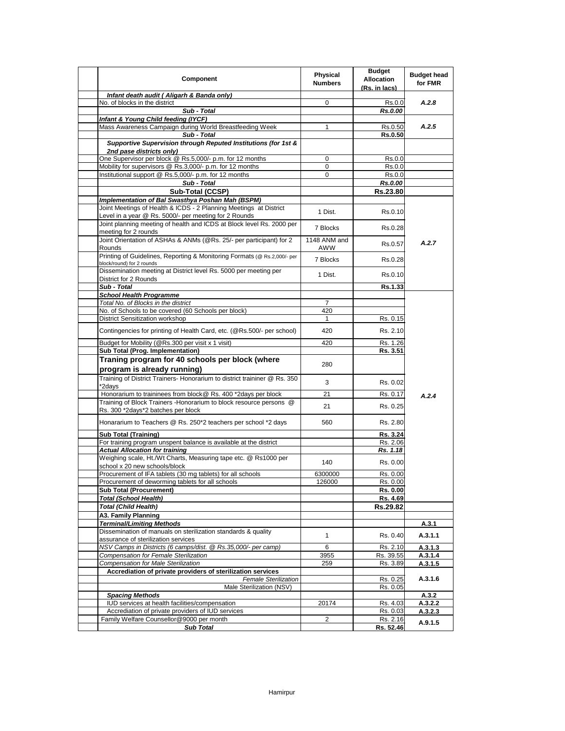| <b>Component</b>                                                                                      | Physical<br><b>Numbers</b> | <b>Budget</b><br><b>Allocation</b><br>(Rs. in lacs) | <b>Budget head</b><br>for FMR |
|-------------------------------------------------------------------------------------------------------|----------------------------|-----------------------------------------------------|-------------------------------|
| Infant death audit (Aligarh & Banda only)                                                             |                            |                                                     |                               |
| No. of blocks in the district                                                                         | 0                          | Rs.0.0                                              | A.2.8                         |
| Sub - Total                                                                                           |                            | Rs.0.00                                             |                               |
| Infant & Young Child feeding (IYCF)                                                                   |                            |                                                     |                               |
| Mass Awareness Campaign during World Breastfeeding Week                                               | 1                          | Rs.0.50                                             | A.2.5                         |
| Sub - Total                                                                                           |                            | <b>Rs.0.50</b>                                      |                               |
| Supportive Supervision through Reputed Institutions (for 1st &                                        |                            |                                                     |                               |
| 2nd pase districts only)<br>One Supervisor per block @ Rs.5,000/- p.m. for 12 months                  | 0                          | Rs.0.0                                              |                               |
| Mobility for supervisors @ Rs.3,000/- p.m. for 12 months                                              | 0                          | Rs.0.0                                              |                               |
| Institutional support @ Rs.5,000/- p.m. for 12 months                                                 | 0                          | Rs.0.0                                              |                               |
| Sub - Total                                                                                           |                            | Rs.0.00                                             |                               |
| Sub-Total (CCSP)                                                                                      |                            | Rs.23.80                                            |                               |
| Implementation of Bal Swasthya Poshan Mah (BSPM)                                                      |                            |                                                     |                               |
| Joint Meetings of Health & ICDS - 2 Planning Meetings at District                                     |                            |                                                     |                               |
| Level in a year @ Rs. 5000/- per meeting for 2 Rounds                                                 | 1 Dist.                    | Rs.0.10                                             |                               |
| Joint planning meeting of health and ICDS at Block level Rs. 2000 per                                 |                            |                                                     |                               |
| meeting for 2 rounds                                                                                  | 7 Blocks                   | Rs.0.28                                             |                               |
| Joint Orientation of ASHAs & ANMs (@Rs. 25/- per participant) for 2                                   | 1148 ANM and               |                                                     | A.2.7                         |
| Rounds                                                                                                | AWW                        | Rs.0.57                                             |                               |
| Printing of Guidelines, Reporting & Monitoring Formats (@ Rs.2,000/- per<br>block/round) for 2 rounds | 7 Blocks                   | Rs.0.28                                             |                               |
| Dissemination meeting at District level Rs. 5000 per meeting per                                      | 1 Dist.                    | Rs.0.10                                             |                               |
| District for 2 Rounds<br>Sub - Total                                                                  |                            |                                                     |                               |
| <b>School Health Programme</b>                                                                        |                            | Rs.1.33                                             |                               |
| Total No. of Blocks in the district                                                                   | $\overline{7}$             |                                                     |                               |
| No. of Schools to be covered (60 Schools per block)                                                   | 420                        |                                                     |                               |
| District Sensitization workshop                                                                       | 1                          | Rs. 0.15                                            |                               |
| Contingencies for printing of Health Card, etc. (@Rs.500/- per school)                                | 420                        | Rs. 2.10                                            |                               |
|                                                                                                       |                            |                                                     |                               |
| Budget for Mobility (@Rs.300 per visit x 1 visit)                                                     | 420                        | Rs. 1.26                                            |                               |
| Sub Total (Prog. Implementation)                                                                      |                            | Rs. 3.51                                            |                               |
| Traning program for 40 schools per block (where<br>program is already running)                        | 280                        |                                                     |                               |
| Training of District Trainers- Honorarium to district traininer @ Rs. 350<br>*2days                   | 3                          | Rs. 0.02                                            |                               |
| Honorarium to traininees from block@ Rs. 400 *2days per block                                         | 21                         | Rs. 0.17                                            | A.2.4                         |
| Training of Block Trainers - Honorarium to block resource persons @                                   |                            |                                                     |                               |
| Rs. 300 *2days*2 batches per block                                                                    | 21                         | Rs. 0.25                                            |                               |
| Honararium to Teachers @ Rs. 250*2 teachers per school *2 days                                        | 560                        | Rs. 2.80                                            |                               |
| <b>Sub Total (Training)</b>                                                                           |                            | Rs. 3.24                                            |                               |
| For training program unspent balance is available at the district                                     |                            | Rs. 2.06                                            |                               |
| <b>Actual Allocation for training</b>                                                                 |                            | Rs. 1.18                                            |                               |
| Weighing scale, Ht./Wt Charts, Measuring tape etc. @ Rs1000 per<br>school x 20 new schools/block      | 140                        | Rs. 0.00                                            |                               |
| Procurement of IFA tablets (30 mg tablets) for all schools                                            | 6300000                    | Rs. 0.00                                            |                               |
| Procurement of deworming tablets for all schools                                                      | 126000                     | Rs. 0.00                                            |                               |
| <b>Sub Total (Procurement)</b>                                                                        |                            | Rs. 0.00                                            |                               |
| <b>Total (School Health)</b>                                                                          |                            | Rs. 4.69                                            |                               |
| <b>Total (Child Health)</b>                                                                           |                            | Rs.29.82                                            |                               |
| A3. Family Planning                                                                                   |                            |                                                     |                               |
| <b>Terminal/Limiting Methods</b>                                                                      |                            |                                                     | A.3.1                         |
| Dissemination of manuals on sterilization standards & quality<br>assurance of sterilization services  | 1                          | Rs. 0.40                                            | A.3.1.1                       |
| NSV Camps in Districts (6 camps/dist. @ Rs.35,000/- per camp)                                         | 6                          | Rs. 2.10                                            | A.3.1.3                       |
| Compensation for Female Sterilization                                                                 | 3955                       | Rs. 39.55                                           | A.3.1.4                       |
| <b>Compensation for Male Sterilization</b>                                                            | 259                        | Rs. 3.89                                            | A.3.1.5                       |
| Accrediation of private providers of sterilization services                                           |                            |                                                     |                               |
| <b>Female Sterilization</b>                                                                           |                            | Rs. 0.25                                            | A.3.1.6                       |
| Male Sterilization (NSV)                                                                              |                            | Rs. 0.05                                            |                               |
| <b>Spacing Methods</b>                                                                                |                            |                                                     | A.3.2                         |
| IUD services at health facilities/compensation<br>Accrediation of private providers of IUD services   | 20174                      | Rs. 4.03                                            | A.3.2.2                       |
| Family Welfare Counsellor@9000 per month                                                              | 2                          | Rs. 0.03<br>Rs. 2.16                                | A.3.2.3                       |
| <b>Sub Total</b>                                                                                      |                            | Rs. 52.46                                           | A.9.1.5                       |
|                                                                                                       |                            |                                                     |                               |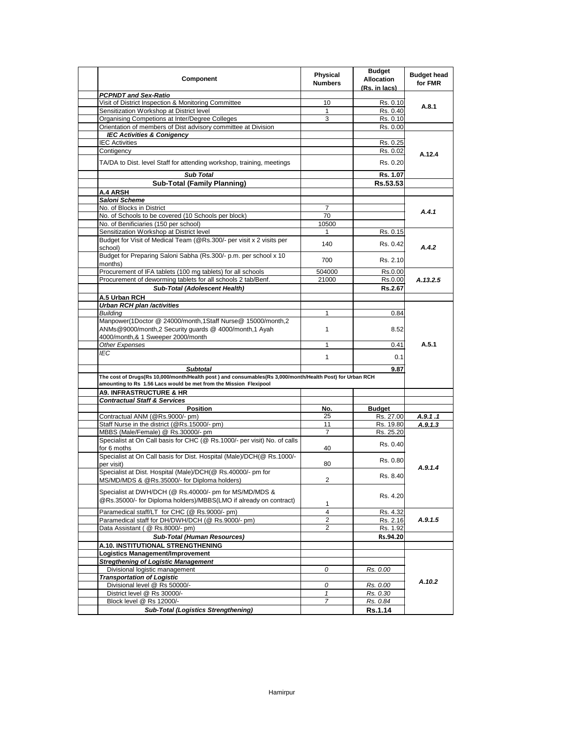| Component                                                                                                                                                                     | <b>Physical</b><br><b>Numbers</b> | <b>Budget</b><br><b>Allocation</b><br>(Rs. in lacs) | <b>Budget head</b><br>for FMR |
|-------------------------------------------------------------------------------------------------------------------------------------------------------------------------------|-----------------------------------|-----------------------------------------------------|-------------------------------|
| <b>PCPNDT and Sex-Ratio</b>                                                                                                                                                   |                                   |                                                     |                               |
| Visit of District Inspection & Monitoring Committee                                                                                                                           | 10                                | Rs. 0.10                                            | A.8.1                         |
| Sensitization Workshop at District level                                                                                                                                      | 1                                 | Rs. 0.40                                            |                               |
| Organising Competions at Inter/Degree Colleges                                                                                                                                | 3                                 | Rs. 0.10                                            |                               |
| Orientation of members of Dist advisory committee at Division                                                                                                                 |                                   | Rs. 0.00                                            |                               |
| <b>IEC Activities &amp; Conigency</b>                                                                                                                                         |                                   |                                                     |                               |
| <b>IEC Activities</b>                                                                                                                                                         |                                   | Rs. 0.25                                            |                               |
| Contigency                                                                                                                                                                    |                                   | Rs. 0.02                                            | A.12.4                        |
| TA/DA to Dist. level Staff for attending workshop, training, meetings                                                                                                         |                                   | Rs. 0.20                                            |                               |
| <b>Sub Total</b>                                                                                                                                                              |                                   | Rs. 1.07                                            |                               |
| <b>Sub-Total (Family Planning)</b>                                                                                                                                            |                                   | Rs.53.53                                            |                               |
| A.4 ARSH                                                                                                                                                                      |                                   |                                                     |                               |
| Saloni Scheme                                                                                                                                                                 |                                   |                                                     |                               |
| No. of Blocks in District                                                                                                                                                     | $\overline{7}$                    |                                                     | A.4.1                         |
| No. of Schools to be covered (10 Schools per block)                                                                                                                           | 70                                |                                                     |                               |
| No. of Benificiaries (150 per school)                                                                                                                                         | 10500                             |                                                     |                               |
| Sensitization Workshop at District level<br>Budget for Visit of Medical Team (@Rs.300/- per visit x 2 visits per                                                              | 1                                 | Rs. 0.15                                            |                               |
| school)                                                                                                                                                                       | 140                               | Rs. 0.42                                            | A.4.2                         |
| Budget for Preparing Saloni Sabha (Rs.300/- p.m. per school x 10<br>months)                                                                                                   | 700                               | Rs. 2.10                                            |                               |
| Procurement of IFA tablets (100 mg tablets) for all schools                                                                                                                   | 504000                            | Rs.0.00                                             |                               |
| Procurement of deworming tablets for all schools 2 tab/Benf.                                                                                                                  | 21000                             | Rs.0.00                                             | A.13.2.5                      |
| <b>Sub-Total (Adolescent Health)</b>                                                                                                                                          |                                   | Rs.2.67                                             |                               |
| A.5 Urban RCH                                                                                                                                                                 |                                   |                                                     |                               |
| <b>Urban RCH plan /activities</b>                                                                                                                                             |                                   |                                                     |                               |
| <b>Building</b>                                                                                                                                                               | 1                                 | 0.84                                                |                               |
| Manpower(1Doctor @ 24000/month,1Staff Nurse@ 15000/month,2<br>ANMs@9000/month,2 Security quards @ 4000/month,1 Ayah                                                           | 1                                 | 8.52                                                |                               |
| 4000/month,& 1 Sweeper 2000/month                                                                                                                                             |                                   |                                                     | A.5.1                         |
| Other Expenses                                                                                                                                                                | 1                                 | 0.41                                                |                               |
| IEC                                                                                                                                                                           | 1                                 | 0.1                                                 |                               |
| <b>Subtotal</b>                                                                                                                                                               |                                   | 9.87                                                |                               |
| The cost of Drugs(Rs 10,000/month/Health post) and consumables(Rs 3,000/month/Health Post) for Urban RCH<br>amounting to Rs 1.56 Lacs would be met from the Mission Flexipool |                                   |                                                     |                               |
| <b>A9. INFRASTRUCTURE &amp; HR</b>                                                                                                                                            |                                   |                                                     |                               |
| <b>Contractual Staff &amp; Services</b>                                                                                                                                       |                                   |                                                     |                               |
| <b>Position</b>                                                                                                                                                               | No.                               | <b>Budget</b>                                       |                               |
| Contractual ANM (@Rs.9000/- pm)                                                                                                                                               | 25                                | Rs. 27.00                                           | A.9.1.1                       |
| Staff Nurse in the district (@Rs.15000/- pm)                                                                                                                                  | 11                                | Rs. 19.80                                           | A.9.1.3                       |
| MBBS (Male/Female) @ Rs.30000/- pm                                                                                                                                            | $\overline{7}$                    | Rs. 25.20                                           |                               |
| Specialist at On Call basis for CHC (@ Rs.1000/- per visit) No. of calls<br>for 6 moths                                                                                       | 40                                | Rs. 0.40                                            |                               |
| Specialist at On Call basis for Dist. Hospital (Male)/DCH(@ Rs.1000/-<br>per visit)                                                                                           | 80                                | Rs. 0.80                                            | A.9.1.4                       |
| Specialist at Dist. Hospital (Male)/DCH(@ Rs.40000/- pm for<br>MS/MD/MDS & @Rs.35000/- for Diploma holders)                                                                   | $\overline{2}$                    | Rs. 8.40                                            |                               |
| Specialist at DWH/DCH (@ Rs.40000/- pm for MS/MD/MDS &<br>@Rs.35000/- for Diploma holders)/MBBS(LMO if already on contract)                                                   | 1                                 | Rs. 4.20                                            |                               |
| Paramedical staff/LT for CHC (@ Rs.9000/- pm)                                                                                                                                 | 4                                 | Rs. 4.32                                            |                               |
| Paramedical staff for DH/DWH/DCH (@ Rs.9000/- pm)                                                                                                                             | 2                                 | Rs. 2.16                                            | A.9.1.5                       |
| Data Assistant ( @ Rs.8000/- pm)                                                                                                                                              | 2                                 | Rs. 1.92                                            |                               |
| <b>Sub-Total (Human Resources)</b>                                                                                                                                            |                                   | Rs.94.20                                            |                               |
| A.10. INSTITUTIONAL STRENGTHENING                                                                                                                                             |                                   |                                                     |                               |
| Logistics Management/Improvement                                                                                                                                              |                                   |                                                     |                               |
| <b>Stregthening of Logistic Management</b>                                                                                                                                    |                                   |                                                     |                               |
| Divisional logistic management                                                                                                                                                | 0                                 | Rs. 0.00                                            |                               |
| <b>Transportation of Logistic</b>                                                                                                                                             |                                   |                                                     | A.10.2                        |
| Divisional level @ Rs 50000/-                                                                                                                                                 | 0                                 | Rs. 0.00                                            |                               |
| District level @ Rs 30000/-                                                                                                                                                   | $\mathbf{1}$                      | Rs. 0.30                                            |                               |
| Block level @ Rs 12000/-                                                                                                                                                      | $\overline{7}$                    | Rs. 0.84                                            |                               |
| <b>Sub-Total (Logistics Strengthening)</b>                                                                                                                                    |                                   | Rs.1.14                                             |                               |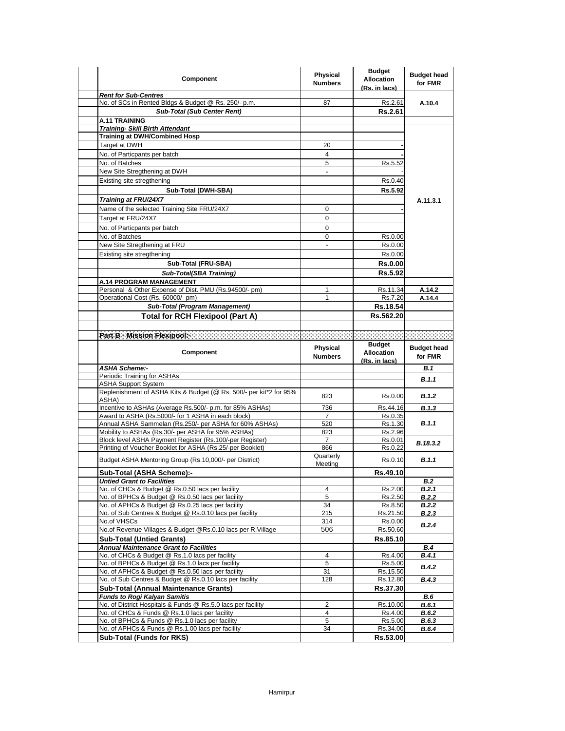| <b>Component</b>                                                                                               | Physical<br><b>Numbers</b> | <b>Budget</b><br><b>Allocation</b><br>(Rs. in lacs) | <b>Budget head</b><br>for FMR |
|----------------------------------------------------------------------------------------------------------------|----------------------------|-----------------------------------------------------|-------------------------------|
| <b>Rent for Sub-Centres</b>                                                                                    |                            |                                                     |                               |
| No. of SCs in Rented Bldgs & Budget @ Rs. 250/- p.m.                                                           | 87                         | Rs.2.61                                             | A.10.4                        |
| <b>Sub-Total (Sub Center Rent)</b>                                                                             |                            | Rs.2.61                                             |                               |
| <b>A.11 TRAINING</b>                                                                                           |                            |                                                     |                               |
| <b>Training- Skill Birth Attendant</b><br><b>Training at DWH/Combined Hosp</b>                                 |                            |                                                     |                               |
| Target at DWH                                                                                                  | 20                         |                                                     |                               |
| No. of Particpants per batch                                                                                   | 4                          |                                                     |                               |
| No. of Batches                                                                                                 | 5                          | Rs.5.52                                             |                               |
| New Site Stregthening at DWH                                                                                   |                            |                                                     |                               |
| Existing site stregthening                                                                                     |                            | Rs.0.40                                             |                               |
| Sub-Total (DWH-SBA)                                                                                            |                            | Rs.5.92                                             |                               |
|                                                                                                                |                            |                                                     |                               |
| Training at FRU/24X7                                                                                           |                            |                                                     | A.11.3.1                      |
| Name of the selected Training Site FRU/24X7                                                                    | 0                          |                                                     |                               |
| Target at FRU/24X7                                                                                             | 0                          |                                                     |                               |
| No. of Particpants per batch                                                                                   | 0                          |                                                     |                               |
| No. of Batches                                                                                                 | 0                          | Rs.0.00                                             |                               |
| New Site Stregthening at FRU                                                                                   | $\overline{a}$             | Rs.0.00                                             |                               |
| Existing site stregthening                                                                                     |                            | Rs.0.00                                             |                               |
| Sub-Total (FRU-SBA)                                                                                            |                            | <b>Rs.0.00</b>                                      |                               |
| Sub-Total(SBA Training)                                                                                        |                            | Rs.5.92                                             |                               |
| A.14 PROGRAM MANAGEMENT                                                                                        |                            |                                                     |                               |
| Personal & Other Expense of Dist. PMU (Rs.94500/- pm)                                                          | 1                          | Rs.11.34                                            | A.14.2                        |
| Operational Cost (Rs. 60000/- pm)                                                                              | 1                          | Rs.7.20                                             | A.14.4                        |
| Sub-Total (Program Management)                                                                                 |                            | Rs.18.54                                            |                               |
| <b>Total for RCH Flexipool (Part A)</b>                                                                        |                            | Rs.562.20                                           |                               |
|                                                                                                                |                            |                                                     |                               |
|                                                                                                                |                            |                                                     |                               |
|                                                                                                                | <b>Physical</b>            | <b>Budget</b>                                       | <b>Budget head</b>            |
| <b>Component</b>                                                                                               | <b>Numbers</b>             | <b>Allocation</b>                                   | for FMR                       |
|                                                                                                                |                            | (Rs. in lacs)                                       |                               |
| <b>ASHA Scheme:-</b>                                                                                           |                            |                                                     | <b>B.1</b>                    |
| Periodic Training for ASHAs                                                                                    |                            |                                                     |                               |
|                                                                                                                |                            |                                                     | B.1.1                         |
| <b>ASHA Support System</b>                                                                                     |                            |                                                     |                               |
| Replenishment of ASHA Kits & Budget (@ Rs. 500/- per kit*2 for 95%                                             | 823                        | Rs.0.00                                             | B.1.2                         |
| ASHA)                                                                                                          | 736                        | Rs.44.16                                            |                               |
| Incentive to ASHAs (Average Rs.500/- p.m. for 85% ASHAs)<br>Award to ASHA (Rs.5000/- for 1 ASHA in each block) | $\overline{7}$             | Rs.0.35                                             | B.1.3                         |
| Annual ASHA Sammelan (Rs.250/- per ASHA for 60% ASHAs)                                                         | 520                        | Rs.1.30                                             | B.1.1                         |
| Mobility to ASHAs (Rs.30/- per ASHA for 95% ASHAs)                                                             | 823                        | Rs.2.96                                             |                               |
| Block level ASHA Payment Register (Rs.100/-per Register)                                                       | 7                          | Rs.0.01                                             |                               |
| Printing of Voucher Booklet for ASHA (Rs.25/-per Booklet)                                                      | 866                        | Rs.0.22                                             | B.18.3.2                      |
| Budget ASHA Mentoring Group (Rs.10,000/- per District)                                                         | Quarterly<br>Meeting       | Rs.0.10                                             | B.1.1                         |
| Sub-Total (ASHA Scheme):-                                                                                      |                            | Rs.49.10                                            |                               |
| Untied Grant to Facilities                                                                                     |                            |                                                     | B.2                           |
| No. of CHCs & Budget @ Rs.0.50 lacs per facility                                                               | 4                          | Rs.2.00                                             | B.2.1                         |
| No. of BPHCs & Budget @ Rs.0.50 lacs per facility                                                              | 5                          | Rs.2.50                                             | <b>B.2.2</b>                  |
| No. of APHCs & Budget @ Rs.0.25 lacs per facility                                                              | 34                         | Rs.8.50                                             | B.2.2                         |
| No. of Sub Centres & Budget @ Rs.0.10 lacs per facility                                                        | 215                        | Rs.21.50                                            | <b>B.2.3</b>                  |
| No.of VHSCs                                                                                                    | 314                        | Rs.0.00                                             | B.2.4                         |
| No.of Revenue Villages & Budget @Rs.0.10 lacs per R.Village                                                    | 506                        | Rs.50.60                                            |                               |
| <b>Sub-Total (Untied Grants)</b>                                                                               |                            | Rs.85.10                                            |                               |
| <b>Annual Maintenance Grant to Facilities</b>                                                                  |                            |                                                     | <b>B.4</b>                    |
| No. of CHCs & Budget @ Rs.1.0 lacs per facility                                                                | 4                          | Rs.4.00                                             | B.4.1                         |
| No. of BPHCs & Budget @ Rs.1.0 lacs per facility<br>No. of APHCs & Budget @ Rs.0.50 lacs per facility          | 5<br>31                    | Rs.5.00<br>Rs.15.50                                 | B.4.2                         |
| No. of Sub Centres & Budget @ Rs.0.10 lacs per facility                                                        | 128                        | Rs.12.80                                            | B.4.3                         |
| <b>Sub-Total (Annual Maintenance Grants)</b>                                                                   |                            | Rs.37.30                                            |                               |
| <b>Funds to Rogi Kalyan Samitis</b>                                                                            |                            |                                                     | B.6                           |
| No. of District Hospitals & Funds @ Rs.5.0 lacs per facility                                                   | 2                          | Rs.10.00                                            | <b>B.6.1</b>                  |
| No. of CHCs & Funds @ Rs.1.0 lacs per facility                                                                 | 4                          | Rs.4.00                                             | B.6.2                         |
| No. of BPHCs & Funds @ Rs.1.0 lacs per facility                                                                | 5                          | Rs.5.00                                             | <b>B.6.3</b>                  |
| No. of APHCs & Funds @ Rs.1.00 lacs per facility<br><b>Sub-Total (Funds for RKS)</b>                           | 34                         | Rs.34.00<br>Rs.53.00                                | <b>B.6.4</b>                  |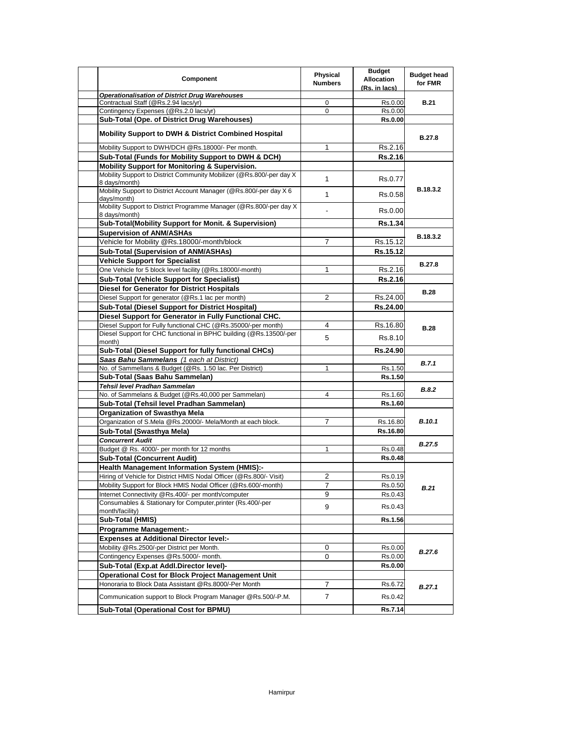| <b>Component</b>                                                                       | Physical<br><b>Numbers</b> | <b>Budget</b><br><b>Allocation</b><br>(Rs. in lacs) | <b>Budget head</b><br>for FMR |
|----------------------------------------------------------------------------------------|----------------------------|-----------------------------------------------------|-------------------------------|
| <b>Operationalisation of District Drug Warehouses</b>                                  |                            |                                                     |                               |
| Contractual Staff (@Rs.2.94 lacs/yr)<br>Contingency Expenses (@Rs.2.0 lacs/yr)         | 0<br>$\Omega$              | Rs.0.00<br>Rs.0.00                                  | <b>B.21</b>                   |
| Sub-Total (Ope. of District Drug Warehouses)                                           |                            | <b>Rs.0.00</b>                                      |                               |
|                                                                                        |                            |                                                     |                               |
| <b>Mobility Support to DWH &amp; District Combined Hospital</b>                        |                            |                                                     | <b>B.27.8</b>                 |
| Mobility Support to DWH/DCH @Rs.18000/- Per month.                                     | 1                          | Rs.2.16                                             |                               |
| Sub-Total (Funds for Mobility Support to DWH & DCH)                                    |                            | Rs.2.16                                             |                               |
| Mobility Support for Monitoring & Supervision.                                         |                            |                                                     |                               |
| Mobility Support to District Community Mobilizer (@Rs.800/-per day X)<br>8 days/month) | $\mathbf{1}$               | Rs.0.77                                             |                               |
| Mobility Support to District Account Manager (@Rs.800/-per day X 6<br>days/month)      | 1                          | Rs.0.58                                             | B.18.3.2                      |
| Mobility Support to District Programme Manager (@Rs.800/-per day X)<br>8 days/month)   |                            | Rs.0.00                                             |                               |
| Sub-Total(Mobility Support for Monit. & Supervision)                                   |                            | <b>Rs.1.34</b>                                      |                               |
| <b>Supervision of ANM/ASHAs</b>                                                        |                            |                                                     | B.18.3.2                      |
| Vehicle for Mobility @Rs.18000/-month/block                                            | 7                          | Rs.15.12                                            |                               |
| Sub-Total (Supervision of ANM/ASHAs)                                                   |                            | Rs.15.12                                            |                               |
| <b>Vehicle Support for Specialist</b>                                                  |                            |                                                     |                               |
| One Vehicle for 5 block level facility (@Rs.18000/-month)                              | 1                          | Rs.2.16                                             | <b>B.27.8</b>                 |
| <b>Sub-Total (Vehicle Support for Specialist)</b>                                      |                            | <b>Rs.2.16</b>                                      |                               |
| <b>Diesel for Generator for District Hospitals</b>                                     |                            |                                                     |                               |
| Diesel Support for generator (@Rs.1 lac per month)                                     | 2                          | Rs.24.00                                            | <b>B.28</b>                   |
| Sub-Total (Diesel Support for District Hospital)                                       |                            | Rs.24.00                                            |                               |
| Diesel Support for Generator in Fully Functional CHC.                                  |                            |                                                     |                               |
| Diesel Support for Fully functional CHC (@Rs.35000/-per month)                         | 4                          | Rs.16.80                                            |                               |
| Diesel Support for CHC functional in BPHC building (@Rs.13500/-per<br>month)           | 5                          | Rs.8.10                                             | <b>B.28</b>                   |
| Sub-Total (Diesel Support for fully functional CHCs)                                   |                            | Rs.24.90                                            |                               |
| Saas Bahu Sammelans (1 each at District)                                               |                            |                                                     |                               |
| No. of Sammellans & Budget (@Rs. 1.50 lac. Per District)                               | 1                          | Rs.1.50                                             | B.7.1                         |
| Sub-Total (Saas Bahu Sammelan)                                                         |                            | Rs.1.50                                             |                               |
| Tehsil level Pradhan Sammelan                                                          |                            |                                                     |                               |
| No. of Sammelans & Budget (@Rs.40,000 per Sammelan)                                    | 4                          | Rs.1.60                                             | B.8.2                         |
| Sub-Total (Tehsil level Pradhan Sammelan)                                              |                            | Rs.1.60                                             |                               |
| Organization of Swasthya Mela                                                          |                            |                                                     |                               |
| Organization of S.Mela @Rs.20000/- Mela/Month at each block.                           | $\overline{7}$             | Rs.16.80                                            | B.10.1                        |
| Sub-Total (Swasthya Mela)                                                              |                            | Rs.16.80                                            |                               |
| <b>Concurrent Audit</b>                                                                |                            |                                                     |                               |
| Budget @ Rs. 4000/- per month for 12 months                                            | $\mathbf{1}$               | Rs.0.48                                             | <b>B.27.5</b>                 |
| <b>Sub-Total (Concurrent Audit)</b>                                                    |                            | <b>Rs.0.48</b>                                      |                               |
| <b>Health Management Information System (HMIS):-</b>                                   |                            |                                                     |                               |
| Hiring of Vehicle for District HMIS Nodal Officer (@Rs.800/- Visit)                    | 2                          | Rs.0.19                                             |                               |
| Mobility Support for Block HMIS Nodal Officer (@Rs.600/-month)                         | 7                          | Rs.0.50                                             |                               |
| Internet Connectivity @Rs.400/- per month/computer                                     | 9                          | Rs.0.43                                             | <b>B.21</b>                   |
| Consumables & Stationary for Computer, printer (Rs.400/-per<br>month/facility)         | 9                          | Rs.0.43                                             |                               |
| Sub-Total (HMIS)                                                                       |                            | Rs.1.56                                             |                               |
| <b>Programme Management:-</b>                                                          |                            |                                                     |                               |
| <b>Expenses at Additional Director level:-</b>                                         |                            |                                                     |                               |
| Mobility @Rs.2500/-per District per Month.                                             | 0                          | Rs.0.00                                             |                               |
| Contingency Expenses @Rs.5000/- month.                                                 | $\mathbf 0$                | Rs.0.00                                             | <b>B.27.6</b>                 |
| Sub-Total (Exp.at Addl.Director level)-                                                |                            | Rs.0.00                                             |                               |
| Operational Cost for Block Project Management Unit                                     |                            |                                                     |                               |
| Honoraria to Block Data Assistant @Rs.8000/-Per Month                                  |                            |                                                     |                               |
|                                                                                        | 7                          | Rs.6.72                                             | B.27.1                        |
| Communication support to Block Program Manager @Rs.500/-P.M.                           | $\overline{7}$             | Rs.0.42                                             |                               |
| Sub-Total (Operational Cost for BPMU)                                                  |                            | Rs.7.14                                             |                               |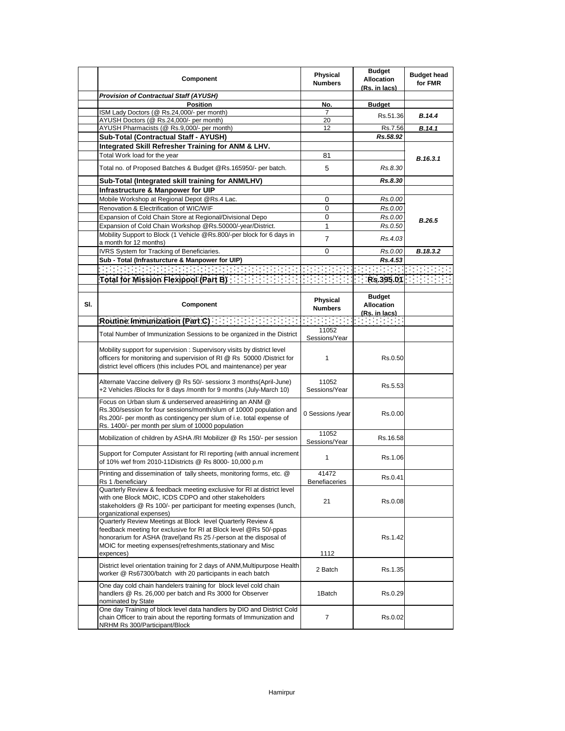|     | <b>Component</b>                                                                                                                                                                                                                                                                   | Physical<br><b>Numbers</b> | <b>Budget</b><br><b>Allocation</b><br>(Rs. in lacs)                                      | <b>Budget head</b><br>for FMR |
|-----|------------------------------------------------------------------------------------------------------------------------------------------------------------------------------------------------------------------------------------------------------------------------------------|----------------------------|------------------------------------------------------------------------------------------|-------------------------------|
|     | <b>Provision of Contractual Staff (AYUSH)</b>                                                                                                                                                                                                                                      |                            |                                                                                          |                               |
|     | <b>Position</b>                                                                                                                                                                                                                                                                    | No.                        | <b>Budget</b>                                                                            |                               |
|     | ISM Lady Doctors (@ Rs.24,000/- per month)                                                                                                                                                                                                                                         | 7                          | Rs.51.36                                                                                 | B.14.4                        |
|     | AYUSH Doctors (@ Rs.24,000/- per month)<br>AYUSH Pharmacists (@ Rs.9,000/- per month)                                                                                                                                                                                              | 20<br>12                   | Rs.7.56                                                                                  | B.14.1                        |
|     | Sub-Total (Contractual Staff - AYUSH)                                                                                                                                                                                                                                              |                            | Rs.58.92                                                                                 |                               |
|     | Integrated Skill Refresher Training for ANM & LHV.                                                                                                                                                                                                                                 |                            |                                                                                          |                               |
|     | Total Work load for the year                                                                                                                                                                                                                                                       | 81                         |                                                                                          |                               |
|     |                                                                                                                                                                                                                                                                                    |                            |                                                                                          | B.16.3.1                      |
|     | Total no. of Proposed Batches & Budget @Rs.165950/- per batch.                                                                                                                                                                                                                     | 5                          | Rs.8.30                                                                                  |                               |
|     | Sub-Total (Integrated skill training for ANM/LHV)                                                                                                                                                                                                                                  |                            | Rs.8.30                                                                                  |                               |
|     | Infrastructure & Manpower for UIP                                                                                                                                                                                                                                                  |                            |                                                                                          |                               |
|     | Mobile Workshop at Regional Depot @Rs.4 Lac.                                                                                                                                                                                                                                       | 0                          | Rs.0.00                                                                                  |                               |
|     | Renovation & Electrification of WIC/WIF                                                                                                                                                                                                                                            | 0                          | Rs.0.00                                                                                  |                               |
|     | Expansion of Cold Chain Store at Regional/Divisional Depo                                                                                                                                                                                                                          | 0                          | Rs.0.00                                                                                  | B.26.5                        |
|     | Expansion of Cold Chain Workshop @Rs.50000/-year/District.                                                                                                                                                                                                                         | $\mathbf{1}$               | Rs.0.50                                                                                  |                               |
|     | Mobility Support to Block (1 Vehicle @Rs.800/-per block for 6 days in<br>a month for 12 months)                                                                                                                                                                                    | $\overline{7}$             | Rs.4.03                                                                                  |                               |
|     | IVRS System for Tracking of Beneficiaries.                                                                                                                                                                                                                                         | 0                          | Rs.0.00                                                                                  | B.18.3.2                      |
|     | Sub - Total (Infrasturcture & Manpower for UIP)                                                                                                                                                                                                                                    |                            | Rs.4.53                                                                                  |                               |
|     |                                                                                                                                                                                                                                                                                    |                            |                                                                                          |                               |
|     | Total for Mission Plexipool (Part B): $\{1, 2, 3, 4, 5, 6, 7, 8, 8, 8, 5, 0, 1\}$ , $\{1, 2, 3, 6, 7, 8, 8, 8, 5, 0, 1\}$                                                                                                                                                          |                            |                                                                                          |                               |
|     |                                                                                                                                                                                                                                                                                    |                            |                                                                                          |                               |
| SI. | Component                                                                                                                                                                                                                                                                          | Physical<br><b>Numbers</b> | <b>Budget</b><br><b>Allocation</b><br>(Rs. in lacs)                                      |                               |
|     | Routine Immunization (Part C) [19] Routine Immunization                                                                                                                                                                                                                            | 医药药治疗                      | $\mathcal{L}(\mathcal{A})$ and $\mathcal{L}(\mathcal{A})$ and $\mathcal{L}(\mathcal{A})$ |                               |
|     | Total Number of Immunization Sessions to be organized in the District                                                                                                                                                                                                              | 11052<br>Sessions/Year     |                                                                                          |                               |
|     | Mobility support for supervision: Supervisory visits by district level<br>officers for monitoring and supervision of RI @ Rs 50000 /District for<br>district level officers (this includes POL and maintenance) per year                                                           | 1                          | Rs.0.50                                                                                  |                               |
|     | Alternate Vaccine delivery @ Rs 50/- sessionx 3 months (April-June)<br>+2 Vehicles /Blocks for 8 days /month for 9 months (July-March 10)                                                                                                                                          | 11052<br>Sessions/Year     | Rs.5.53                                                                                  |                               |
|     | Focus on Urban slum & underserved areasHiring an ANM @<br>Rs.300/session for four sessions/month/slum of 10000 population and<br>Rs.200/- per month as contingency per slum of i.e. total expense of<br>Rs. 1400/- per month per slum of 10000 population                          | 0 Sessions /year           | Rs.0.00                                                                                  |                               |
|     | Mobilization of children by ASHA /RI Mobilizer @ Rs 150/- per session                                                                                                                                                                                                              | 11052<br>Sessions/Year     | Rs.16.58                                                                                 |                               |
|     | Support for Computer Assistant for RI reporting (with annual increment<br>of 10% wef from 2010-11Districts @ Rs 8000- 10,000 p.m                                                                                                                                                   | 1                          | Rs.1.06                                                                                  |                               |
|     | Printing and dissemination of tally sheets, monitoring forms, etc. @<br>Rs 1 /beneficiary                                                                                                                                                                                          | 41472<br>Benefiaceries     | Rs.0.41                                                                                  |                               |
|     | Quarterly Review & feedback meeting exclusive for RI at district level<br>with one Block MOIC, ICDS CDPO and other stakeholders<br>stakeholders @ Rs 100/- per participant for meeting expenses (lunch,<br>organizational expenses)                                                | 21                         | Rs.0.08                                                                                  |                               |
|     | Quarterly Review Meetings at Block level Quarterly Review &<br>feedback meeting for exclusive for RI at Block level @Rs 50/-ppas<br>honorarium for ASHA (travel)and Rs 25 /-person at the disposal of<br>MOIC for meeting expenses (refreshments, stationary and Misc<br>expences) | 1112                       | Rs.1.42                                                                                  |                               |
|     | District level orientation training for 2 days of ANM, Multipurpose Health<br>worker @ Rs67300/batch with 20 participants in each batch                                                                                                                                            | 2 Batch                    | Rs.1.35                                                                                  |                               |
|     | One day cold chain handelers training for block level cold chain<br>handlers @ Rs. 26,000 per batch and Rs 3000 for Observer<br>nominated by State                                                                                                                                 | 1Batch                     | Rs.0.29                                                                                  |                               |
|     | One day Training of block level data handlers by DIO and District Cold<br>chain Officer to train about the reporting formats of Immunization and<br>NRHM Rs 300/Participant/Block                                                                                                  | 7                          | Rs.0.02                                                                                  |                               |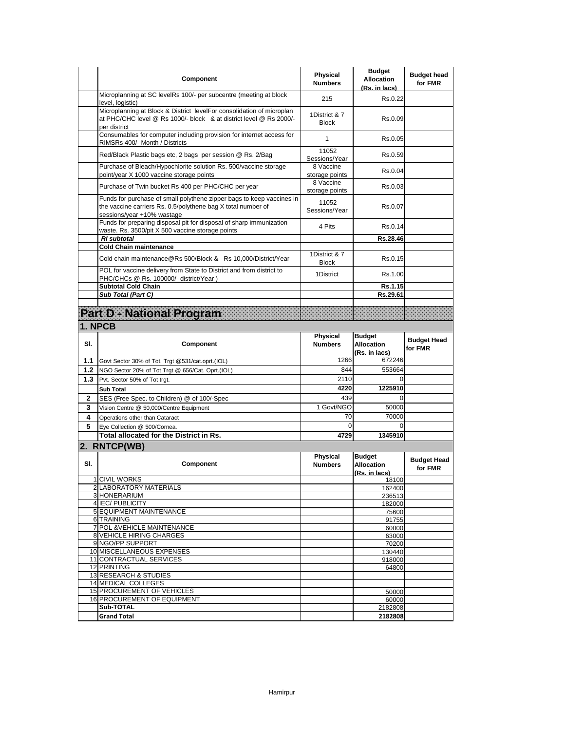|     | <b>Component</b>                                                                                                                                                    | Physical<br><b>Numbers</b>        | <b>Budget</b><br><b>Allocation</b><br>(Rs. in lacs) | <b>Budget head</b><br>for FMR |
|-----|---------------------------------------------------------------------------------------------------------------------------------------------------------------------|-----------------------------------|-----------------------------------------------------|-------------------------------|
|     | Microplanning at SC levelRs 100/- per subcentre (meeting at block<br>level, logistic)                                                                               | 215                               | Rs.0.22                                             |                               |
|     | Microplanning at Block & District levelFor consolidation of microplan<br>at PHC/CHC level @ Rs 1000/- block & at district level @ Rs 2000/-<br>per district         | 1District & 7<br><b>Block</b>     | Rs.0.09                                             |                               |
|     | Consumables for computer including provision for internet access for<br>RIMSRs 400/- Month / Districts                                                              | 1                                 | Rs.0.05                                             |                               |
|     | Red/Black Plastic bags etc, 2 bags per session @ Rs. 2/Bag                                                                                                          | 11052<br>Sessions/Year            | Rs.0.59                                             |                               |
|     | Purchase of Bleach/Hypochlorite solution Rs. 500/vaccine storage<br>point/year X 1000 vaccine storage points                                                        | 8 Vaccine<br>storage points       | Rs.0.04                                             |                               |
|     | Purchase of Twin bucket Rs 400 per PHC/CHC per year                                                                                                                 | 8 Vaccine<br>storage points       | Rs 0.03                                             |                               |
|     | Funds for purchase of small polythene zipper bags to keep vaccines in<br>the vaccine carriers Rs. 0.5/polythene bag X total number of<br>sessions/year +10% wastage | 11052<br>Sessions/Year            | Rs.0.07                                             |                               |
|     | Funds for preparing disposal pit for disposal of sharp immunization<br>waste. Rs. 3500/pit X 500 vaccine storage points                                             | 4 Pits                            | Rs 0.14                                             |                               |
|     | <b>RI</b> subtotal<br><b>Cold Chain maintenance</b>                                                                                                                 |                                   | Rs.28.46                                            |                               |
|     | Cold chain maintenance@Rs 500/Block & Rs 10,000/District/Year                                                                                                       | 1District & 7<br><b>Block</b>     | Rs.0.15                                             |                               |
|     | POL for vaccine delivery from State to District and from district to<br>PHC/CHCs @ Rs. 100000/- district/Year)                                                      | 1District                         | Rs.1.00                                             |                               |
|     | <b>Subtotal Cold Chain</b>                                                                                                                                          |                                   | Rs.1.15                                             |                               |
|     | Sub Total (Part C)                                                                                                                                                  |                                   | Rs.29.61                                            |                               |
|     | Part D. National Program                                                                                                                                            |                                   |                                                     |                               |
|     | 1. NPCB                                                                                                                                                             |                                   |                                                     |                               |
| SI. | <b>Component</b>                                                                                                                                                    | Physical<br><b>Numbers</b>        | <b>Budget</b><br><b>Allocation</b><br>(Rs. in lacs) | <b>Budget Head</b><br>for FMR |
| 1.1 | Govt Sector 30% of Tot. Trgt @531/cat.oprt.(IOL)                                                                                                                    | 1266                              | 672246                                              |                               |
|     |                                                                                                                                                                     |                                   |                                                     |                               |
| 1.2 | NGO Sector 20% of Tot Trgt @ 656/Cat. Oprt.(IOL)                                                                                                                    | 844                               | 553664                                              |                               |
| 1.3 | Pvt. Sector 50% of Tot trgt.                                                                                                                                        | 2110                              | $\Omega$                                            |                               |
|     | <b>Sub Total</b>                                                                                                                                                    | 4220                              | 1225910                                             |                               |
| 2   | SES (Free Spec. to Children) @ of 100/-Spec                                                                                                                         | 439                               | 0                                                   |                               |
| 3   | Vision Centre @ 50,000/Centre Equipment                                                                                                                             | 1 Govt/NGO                        | 50000                                               |                               |
| 4   | Operations other than Cataract                                                                                                                                      | 70                                | 70000                                               |                               |
| 5   | Eye Collection @ 500/Cornea.<br>Total allocated for the District in Rs.                                                                                             | 0<br>4729                         | 0<br>1345910                                        |                               |
|     |                                                                                                                                                                     |                                   |                                                     |                               |
| SI. | 2. RNTCP(WB)<br>Component                                                                                                                                           | <b>Physical</b><br><b>Numbers</b> | <b>Budget</b><br><b>Allocation</b><br>(Rs. in lacs) | <b>Budget Head</b><br>for FMR |
|     | 1 CIVIL WORKS                                                                                                                                                       |                                   | 18100                                               |                               |
|     | 2 LABORATORY MATERIALS                                                                                                                                              |                                   | 162400                                              |                               |
|     | 3 HONERARIUM<br>4 IEC/ PUBLICITY                                                                                                                                    |                                   | 236513<br>182000                                    |                               |
|     | 5 EQUIPMENT MAINTENANCE                                                                                                                                             |                                   | 75600                                               |                               |
|     | <b>6 TRAINING</b>                                                                                                                                                   |                                   | 91755                                               |                               |
|     | 7 POL & VEHICLE MAINTENANCE                                                                                                                                         |                                   | 60000                                               |                               |
|     | 8 VEHICLE HIRING CHARGES<br>9 NGO/PP SUPPORT                                                                                                                        |                                   | 63000<br>70200                                      |                               |
|     | 10 MISCELLANEOUS EXPENSES                                                                                                                                           |                                   | 130440                                              |                               |
|     | 11 CONTRACTUAL SERVICES                                                                                                                                             |                                   | 918000                                              |                               |
|     | 12 PRINTING                                                                                                                                                         |                                   | 64800                                               |                               |
|     | 13 RESEARCH & STUDIES<br>14 MEDICAL COLLEGES                                                                                                                        |                                   |                                                     |                               |
|     | 15 PROCUREMENT OF VEHICLES                                                                                                                                          |                                   | 50000                                               |                               |
|     | 16 PROCUREMENT OF EQUIPMENT<br>Sub-TOTAL                                                                                                                            |                                   | 60000<br>2182808                                    |                               |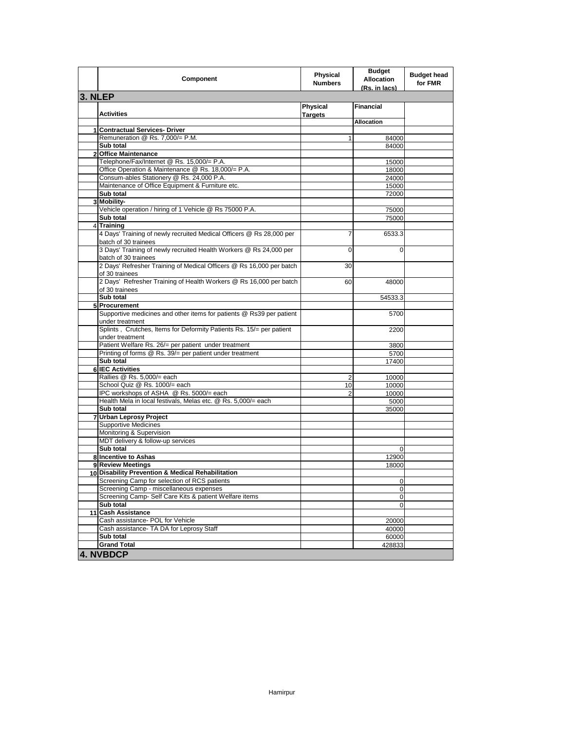|                | <b>Component</b>                                                                                         | Physical<br><b>Numbers</b> | <b>Budget</b><br><b>Allocation</b><br>(Rs. in lacs) | <b>Budget head</b><br>for FMR |
|----------------|----------------------------------------------------------------------------------------------------------|----------------------------|-----------------------------------------------------|-------------------------------|
| 3. NLEP        |                                                                                                          |                            |                                                     |                               |
|                | <b>Activities</b>                                                                                        | Physical<br><b>Targets</b> | <b>Financial</b>                                    |                               |
|                |                                                                                                          |                            | <b>Allocation</b>                                   |                               |
| $\mathbf{1}$   | <b>Contractual Services- Driver</b>                                                                      |                            |                                                     |                               |
|                | Remuneration @ Rs. 7,000/= P.M.<br>Sub total                                                             | 1                          | 84000<br>84000                                      |                               |
| $\overline{2}$ | <b>Office Maintenance</b>                                                                                |                            |                                                     |                               |
|                | Telephone/Fax/Internet @ Rs. 15,000/= P.A.                                                               |                            | 15000                                               |                               |
|                | Office Operation & Maintenance @ Rs. 18,000/= P.A.                                                       |                            | 18000                                               |                               |
|                | Consum-ables Stationery @ Rs. 24,000 P.A.                                                                |                            | 24000                                               |                               |
|                | Maintenance of Office Equipment & Furniture etc.                                                         |                            | 15000                                               |                               |
|                | Sub total                                                                                                |                            | 72000                                               |                               |
|                | 3 Mobility-                                                                                              |                            |                                                     |                               |
|                | Vehicle operation / hiring of 1 Vehicle @ Rs 75000 P.A.                                                  |                            | 75000                                               |                               |
|                | Sub total                                                                                                |                            | 75000                                               |                               |
|                | 4 Training                                                                                               |                            |                                                     |                               |
|                | 4 Days' Training of newly recruited Medical Officers @ Rs 28,000 per<br>batch of 30 trainees             | $\overline{7}$             | 6533.3                                              |                               |
|                | 3 Days' Training of newly recruited Health Workers @ Rs 24,000 per<br>batch of 30 trainees               | 0                          | $\Omega$                                            |                               |
|                | 2 Days' Refresher Training of Medical Officers @ Rs 16,000 per batch<br>of 30 trainees                   | 30                         |                                                     |                               |
|                | 2 Days' Refresher Training of Health Workers @ Rs 16,000 per batch<br>of 30 trainees                     | 60                         | 48000                                               |                               |
|                | Sub total                                                                                                |                            | 54533.3                                             |                               |
|                | 5 Procurement                                                                                            |                            |                                                     |                               |
|                | Supportive medicines and other items for patients @ Rs39 per patient<br>under treatment                  |                            | 5700                                                |                               |
|                | Splints, Crutches, Items for Deformity Patients Rs. 15/= per patient<br>under treatment                  |                            | 2200                                                |                               |
|                | Patient Welfare Rs. 26/= per patient under treatment                                                     |                            | 3800                                                |                               |
|                | Printing of forms @ Rs. 39/= per patient under treatment                                                 |                            | 5700                                                |                               |
|                | Sub total                                                                                                |                            | 17400                                               |                               |
|                | 6 IEC Activities                                                                                         |                            |                                                     |                               |
|                | Rallies @ Rs. 5,000/= each                                                                               | 2                          | 10000                                               |                               |
|                | School Quiz @ Rs. 1000/= each                                                                            | 10                         | 10000                                               |                               |
|                | IPC workshops of ASHA @ Rs. 5000/= each<br>Health Mela in local festivals, Melas etc. @ Rs. 5,000/= each | 2                          | 10000                                               |                               |
|                | Sub total                                                                                                |                            | 5000                                                |                               |
| 7              | <b>Urban Leprosy Project</b>                                                                             |                            | 35000                                               |                               |
|                | <b>Supportive Medicines</b>                                                                              |                            |                                                     |                               |
|                | Monitoring & Supervision                                                                                 |                            |                                                     |                               |
|                | MDT delivery & follow-up services                                                                        |                            |                                                     |                               |
|                | Sub total                                                                                                |                            | $\mathbf 0$                                         |                               |
|                | 8 Incentive to Ashas                                                                                     |                            | 12900                                               |                               |
|                | 9 Review Meetings                                                                                        |                            | 18000                                               |                               |
|                | 10 Disability Prevention & Medical Rehabilitation                                                        |                            |                                                     |                               |
|                | Screening Camp for selection of RCS patients                                                             |                            |                                                     |                               |
|                | Screening Camp - miscellaneous expenses                                                                  |                            | 0                                                   |                               |
|                | Screening Camp- Self Care Kits & patient Welfare items                                                   |                            | 0                                                   |                               |
|                | Sub total                                                                                                |                            | 0                                                   |                               |
| 11             | <b>Cash Assistance</b>                                                                                   |                            |                                                     |                               |
|                | Cash assistance- POL for Vehicle                                                                         |                            | 20000                                               |                               |
|                | Cash assistance- TA DA for Leprosy Staff<br>Sub total                                                    |                            | 40000                                               |                               |
|                | <b>Grand Total</b>                                                                                       |                            | 60000<br>428833                                     |                               |
|                | 4. NVBDCP                                                                                                |                            |                                                     |                               |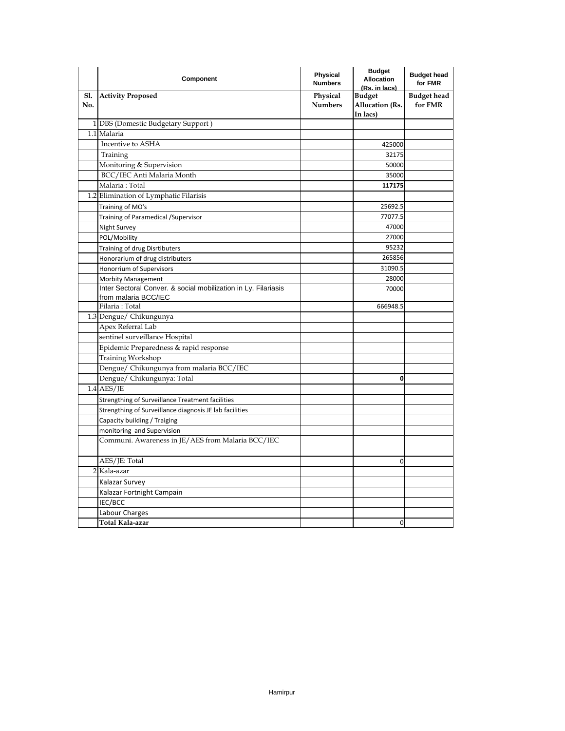|            | Component                                                                              | <b>Physical</b><br><b>Numbers</b> | <b>Budget</b><br><b>Allocation</b><br>(Rs. in lacs) | <b>Budget head</b><br>for FMR |
|------------|----------------------------------------------------------------------------------------|-----------------------------------|-----------------------------------------------------|-------------------------------|
| Sl.<br>No. | <b>Activity Proposed</b>                                                               | Physical<br><b>Numbers</b>        | <b>Budget</b><br>Allocation (Rs.<br>In lacs)        | <b>Budget</b> head<br>for FMR |
|            | 1 DBS (Domestic Budgetary Support)                                                     |                                   |                                                     |                               |
|            | 1.1 Malaria                                                                            |                                   |                                                     |                               |
|            | Incentive to ASHA                                                                      |                                   | 425000                                              |                               |
|            | Training                                                                               |                                   | 32175                                               |                               |
|            | Monitoring & Supervision                                                               |                                   | 50000                                               |                               |
|            | BCC/IEC Anti Malaria Month                                                             |                                   | 35000                                               |                               |
|            | Malaria: Total                                                                         |                                   | 117175                                              |                               |
|            | 1.2 Elimination of Lymphatic Filarisis                                                 |                                   |                                                     |                               |
|            | Training of MO's                                                                       |                                   | 25692.5                                             |                               |
|            | Training of Paramedical / Supervisor                                                   |                                   | 77077.5                                             |                               |
|            | Night Survey                                                                           |                                   | 47000                                               |                               |
|            | POL/Mobility                                                                           |                                   | 27000                                               |                               |
|            | Training of drug Disrtibuters                                                          |                                   | 95232                                               |                               |
|            | Honorarium of drug distributers                                                        |                                   | 265856                                              |                               |
|            | Honorrium of Supervisors                                                               |                                   | 31090.5                                             |                               |
|            | <b>Morbity Management</b>                                                              |                                   | 28000                                               |                               |
|            | Inter Sectoral Conver. & social mobilization in Ly. Filariasis<br>from malaria BCC/IEC |                                   | 70000                                               |                               |
|            | Filaria: Total                                                                         |                                   | 666948.5                                            |                               |
|            | 1.3 Dengue/ Chikungunya                                                                |                                   |                                                     |                               |
|            | Apex Referral Lab                                                                      |                                   |                                                     |                               |
|            | sentinel surveillance Hospital                                                         |                                   |                                                     |                               |
|            | Epidemic Preparedness & rapid response                                                 |                                   |                                                     |                               |
|            | <b>Training Workshop</b>                                                               |                                   |                                                     |                               |
|            | Dengue/ Chikungunya from malaria BCC/IEC                                               |                                   |                                                     |                               |
|            | Dengue/ Chikungunya: Total                                                             |                                   | 0                                                   |                               |
|            | $1.4$ AES/JE                                                                           |                                   |                                                     |                               |
|            | Strengthing of Surveillance Treatment facilities                                       |                                   |                                                     |                               |
|            | Strengthing of Surveillance diagnosis JE lab facilities                                |                                   |                                                     |                               |
|            | Capacity building / Traiging                                                           |                                   |                                                     |                               |
|            | monitoring and Supervision                                                             |                                   |                                                     |                               |
|            | Communi. Awareness in JE/AES from Malaria BCC/IEC                                      |                                   |                                                     |                               |
|            | AES/JE: Total                                                                          |                                   | $\mathbf 0$                                         |                               |
|            | 2 Kala-azar                                                                            |                                   |                                                     |                               |
|            | Kalazar Survey                                                                         |                                   |                                                     |                               |
|            | Kalazar Fortnight Campain                                                              |                                   |                                                     |                               |
|            | IEC/BCC                                                                                |                                   |                                                     |                               |
|            | Labour Charges                                                                         |                                   |                                                     |                               |
|            | Total Kala-azar                                                                        |                                   | $\mathbf 0$                                         |                               |